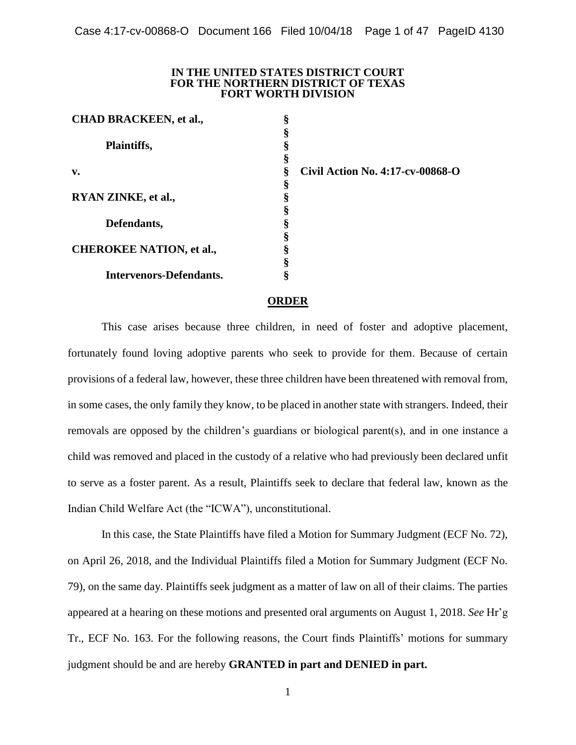#### **IN THE UNITED STATES DISTRICT COURT FOR THE NORTHERN DISTRICT OF TEXAS FORT WORTH DIVISION**

**§ § § § § § § § § § § § §**

| <b>CHAD BRACKEEN, et al.,</b>   |
|---------------------------------|
| <b>Plaintiffs,</b>              |
| v.                              |
| RYAN ZINKE, et al.,             |
| Defendants,                     |
| <b>CHEROKEE NATION, et al.,</b> |
| Intervenors-Defendants.         |

**Civil Action No. 4:17-cv-00868-O**

### **ORDER**

This case arises because three children, in need of foster and adoptive placement, fortunately found loving adoptive parents who seek to provide for them. Because of certain provisions of a federal law, however, these three children have been threatened with removal from, in some cases, the only family they know, to be placed in another state with strangers. Indeed, their removals are opposed by the children's guardians or biological parent(s), and in one instance a child was removed and placed in the custody of a relative who had previously been declared unfit to serve as a foster parent. As a result, Plaintiffs seek to declare that federal law, known as the Indian Child Welfare Act (the "ICWA"), unconstitutional.

In this case, the State Plaintiffs have filed a Motion for Summary Judgment (ECF No. 72), on April 26, 2018, and the Individual Plaintiffs filed a Motion for Summary Judgment (ECF No. 79), on the same day. Plaintiffs seek judgment as a matter of law on all of their claims. The parties appeared at a hearing on these motions and presented oral arguments on August 1, 2018. *See* Hr'g Tr., ECF No. 163. For the following reasons, the Court finds Plaintiffs' motions for summary judgment should be and are hereby **GRANTED in part and DENIED in part.**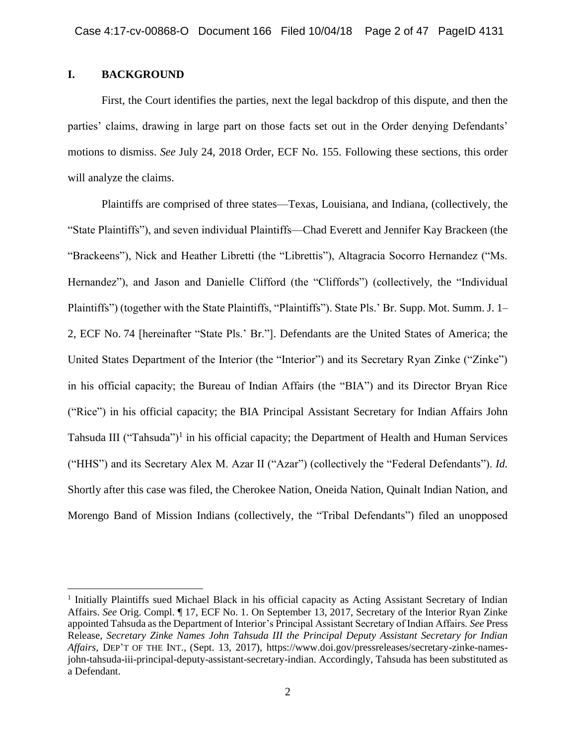# **I. BACKGROUND**

 $\overline{a}$ 

First, the Court identifies the parties, next the legal backdrop of this dispute, and then the parties' claims, drawing in large part on those facts set out in the Order denying Defendants' motions to dismiss. *See* July 24, 2018 Order, ECF No. 155. Following these sections, this order will analyze the claims.

Plaintiffs are comprised of three states—Texas, Louisiana, and Indiana, (collectively, the "State Plaintiffs"), and seven individual Plaintiffs—Chad Everett and Jennifer Kay Brackeen (the "Brackeens"), Nick and Heather Libretti (the "Librettis"), Altagracia Socorro Hernandez ("Ms. Hernandez"), and Jason and Danielle Clifford (the "Cliffords") (collectively, the "Individual Plaintiffs") (together with the State Plaintiffs, "Plaintiffs"). State Pls.' Br. Supp. Mot. Summ. J. 1– 2, ECF No. 74 [hereinafter "State Pls.' Br."]. Defendants are the United States of America; the United States Department of the Interior (the "Interior") and its Secretary Ryan Zinke ("Zinke") in his official capacity; the Bureau of Indian Affairs (the "BIA") and its Director Bryan Rice ("Rice") in his official capacity; the BIA Principal Assistant Secretary for Indian Affairs John Tahsuda III ("Tahsuda")<sup>1</sup> in his official capacity; the Department of Health and Human Services ("HHS") and its Secretary Alex M. Azar II ("Azar") (collectively the "Federal Defendants"). *Id.* Shortly after this case was filed, the Cherokee Nation, Oneida Nation, Quinalt Indian Nation, and Morengo Band of Mission Indians (collectively, the "Tribal Defendants") filed an unopposed

<sup>&</sup>lt;sup>1</sup> Initially Plaintiffs sued Michael Black in his official capacity as Acting Assistant Secretary of Indian Affairs. *See* Orig. Compl. ¶ 17, ECF No. 1. On September 13, 2017, Secretary of the Interior Ryan Zinke appointed Tahsuda as the Department of Interior's Principal Assistant Secretary of Indian Affairs. *See* Press Release, *Secretary Zinke Names John Tahsuda III the Principal Deputy Assistant Secretary for Indian Affairs*, DEP'T OF THE INT., (Sept. 13, 2017), https://www.doi.gov/pressreleases/secretary-zinke-namesjohn-tahsuda-iii-principal-deputy-assistant-secretary-indian. Accordingly, Tahsuda has been substituted as a Defendant.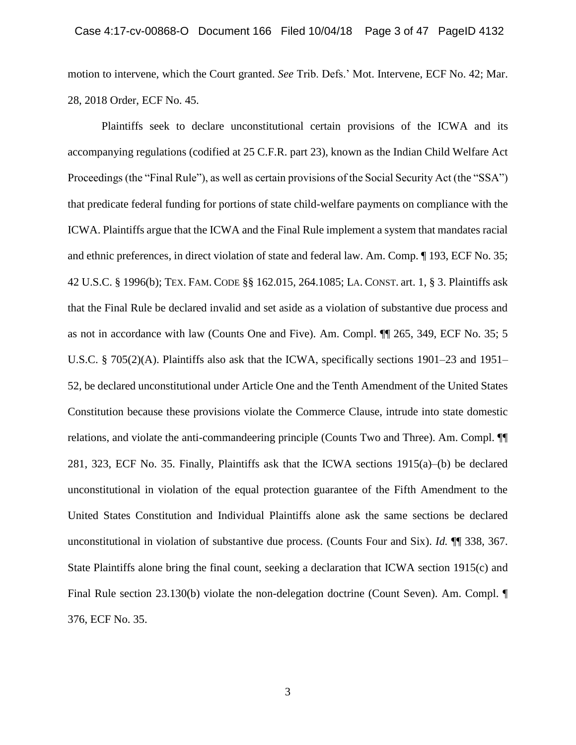motion to intervene, which the Court granted. *See* Trib. Defs.' Mot. Intervene, ECF No. 42; Mar. 28, 2018 Order, ECF No. 45.

Plaintiffs seek to declare unconstitutional certain provisions of the ICWA and its accompanying regulations (codified at 25 C.F.R. part 23), known as the Indian Child Welfare Act Proceedings (the "Final Rule"), as well as certain provisions of the Social Security Act (the "SSA") that predicate federal funding for portions of state child-welfare payments on compliance with the ICWA. Plaintiffs argue that the ICWA and the Final Rule implement a system that mandates racial and ethnic preferences, in direct violation of state and federal law. Am. Comp. ¶ 193, ECF No. 35; 42 U.S.C. § 1996(b); TEX. FAM. CODE §§ 162.015, 264.1085; LA. CONST. art. 1, § 3. Plaintiffs ask that the Final Rule be declared invalid and set aside as a violation of substantive due process and as not in accordance with law (Counts One and Five). Am. Compl. ¶¶ 265, 349, ECF No. 35; 5 U.S.C. § 705(2)(A). Plaintiffs also ask that the ICWA, specifically sections 1901–23 and 1951– 52, be declared unconstitutional under Article One and the Tenth Amendment of the United States Constitution because these provisions violate the Commerce Clause, intrude into state domestic relations, and violate the anti-commandeering principle (Counts Two and Three). Am. Compl. ¶¶ 281, 323, ECF No. 35. Finally, Plaintiffs ask that the ICWA sections 1915(a)–(b) be declared unconstitutional in violation of the equal protection guarantee of the Fifth Amendment to the United States Constitution and Individual Plaintiffs alone ask the same sections be declared unconstitutional in violation of substantive due process. (Counts Four and Six). *Id.* ¶¶ 338, 367. State Plaintiffs alone bring the final count, seeking a declaration that ICWA section 1915(c) and Final Rule section 23.130(b) violate the non-delegation doctrine (Count Seven). Am. Compl. ¶ 376, ECF No. 35.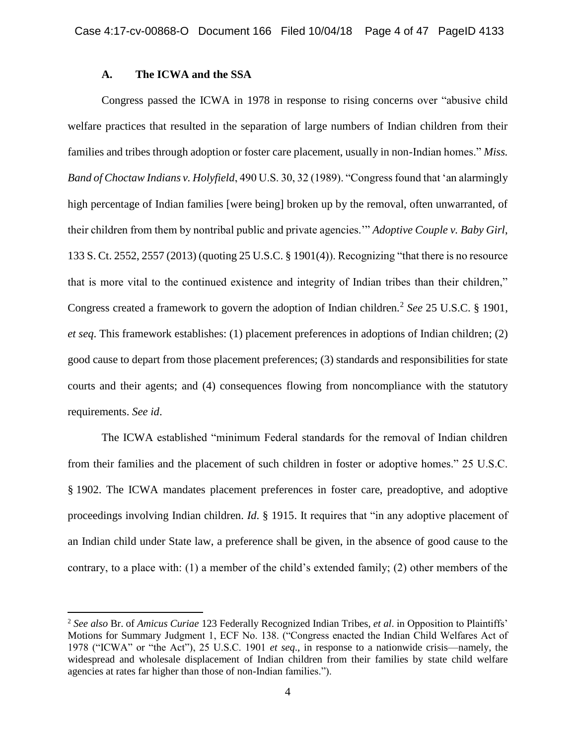# **A. The ICWA and the SSA**

 $\overline{a}$ 

Congress passed the ICWA in 1978 in response to rising concerns over "abusive child welfare practices that resulted in the separation of large numbers of Indian children from their families and tribes through adoption or foster care placement, usually in non-Indian homes." *Miss. Band of Choctaw Indians v. Holyfield*, 490 U.S. 30, 32 (1989). "Congress found that 'an alarmingly high percentage of Indian families [were being] broken up by the removal, often unwarranted, of their children from them by nontribal public and private agencies.'" *Adoptive Couple v. Baby Girl*, 133 S. Ct. 2552, 2557 (2013) (quoting 25 U.S.C. § 1901(4)). Recognizing "that there is no resource that is more vital to the continued existence and integrity of Indian tribes than their children," Congress created a framework to govern the adoption of Indian children.<sup>2</sup> See 25 U.S.C. § 1901, *et seq*. This framework establishes: (1) placement preferences in adoptions of Indian children; (2) good cause to depart from those placement preferences; (3) standards and responsibilities for state courts and their agents; and (4) consequences flowing from noncompliance with the statutory requirements. *See id*.

The ICWA established "minimum Federal standards for the removal of Indian children from their families and the placement of such children in foster or adoptive homes." 25 U.S.C. § 1902. The ICWA mandates placement preferences in foster care, preadoptive, and adoptive proceedings involving Indian children. *Id*. § 1915. It requires that "in any adoptive placement of an Indian child under State law, a preference shall be given, in the absence of good cause to the contrary, to a place with: (1) a member of the child's extended family; (2) other members of the

<sup>2</sup> *See also* Br. of *Amicus Curiae* 123 Federally Recognized Indian Tribes, *et al*. in Opposition to Plaintiffs' Motions for Summary Judgment 1, ECF No. 138. ("Congress enacted the Indian Child Welfares Act of 1978 ("ICWA" or "the Act"), 25 U.S.C. 1901 *et seq*., in response to a nationwide crisis—namely, the widespread and wholesale displacement of Indian children from their families by state child welfare agencies at rates far higher than those of non-Indian families.").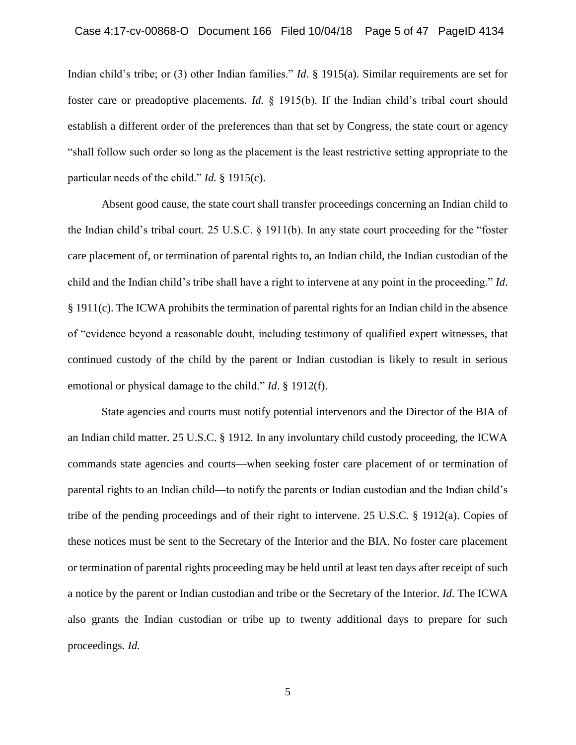Indian child's tribe; or (3) other Indian families." *Id*. § 1915(a). Similar requirements are set for foster care or preadoptive placements. *Id.* § 1915(b). If the Indian child's tribal court should establish a different order of the preferences than that set by Congress, the state court or agency "shall follow such order so long as the placement is the least restrictive setting appropriate to the particular needs of the child." *Id.* § 1915(c).

Absent good cause, the state court shall transfer proceedings concerning an Indian child to the Indian child's tribal court. 25 U.S.C. § 1911(b). In any state court proceeding for the "foster care placement of, or termination of parental rights to, an Indian child, the Indian custodian of the child and the Indian child's tribe shall have a right to intervene at any point in the proceeding." *Id*. § 1911(c). The ICWA prohibits the termination of parental rights for an Indian child in the absence of "evidence beyond a reasonable doubt, including testimony of qualified expert witnesses, that continued custody of the child by the parent or Indian custodian is likely to result in serious emotional or physical damage to the child." *Id*. § 1912(f).

State agencies and courts must notify potential intervenors and the Director of the BIA of an Indian child matter. 25 U.S.C. § 1912. In any involuntary child custody proceeding, the ICWA commands state agencies and courts—when seeking foster care placement of or termination of parental rights to an Indian child—to notify the parents or Indian custodian and the Indian child's tribe of the pending proceedings and of their right to intervene. 25 U.S.C. § 1912(a). Copies of these notices must be sent to the Secretary of the Interior and the BIA. No foster care placement or termination of parental rights proceeding may be held until at least ten days after receipt of such a notice by the parent or Indian custodian and tribe or the Secretary of the Interior. *Id*. The ICWA also grants the Indian custodian or tribe up to twenty additional days to prepare for such proceedings. *Id.*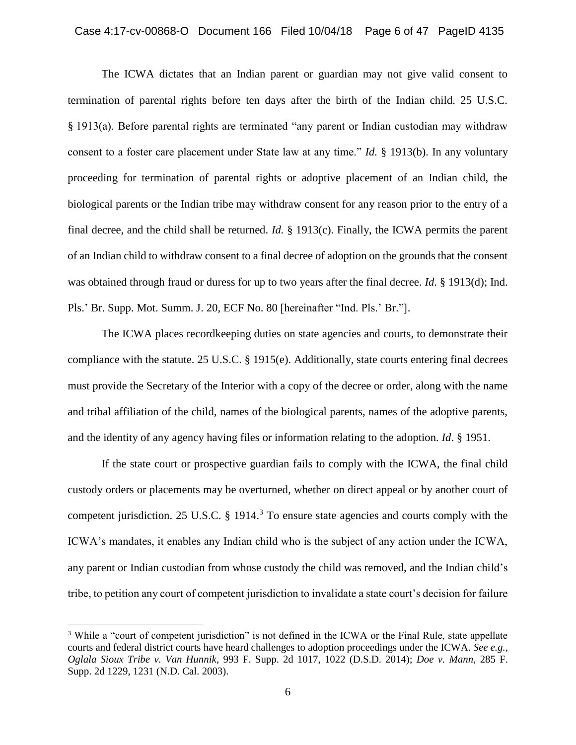### Case 4:17-cv-00868-O Document 166 Filed 10/04/18 Page 6 of 47 PageID 4135

The ICWA dictates that an Indian parent or guardian may not give valid consent to termination of parental rights before ten days after the birth of the Indian child. 25 U.S.C. § 1913(a). Before parental rights are terminated "any parent or Indian custodian may withdraw consent to a foster care placement under State law at any time." *Id.* § 1913(b). In any voluntary proceeding for termination of parental rights or adoptive placement of an Indian child, the biological parents or the Indian tribe may withdraw consent for any reason prior to the entry of a final decree, and the child shall be returned. *Id.* § 1913(c). Finally, the ICWA permits the parent of an Indian child to withdraw consent to a final decree of adoption on the grounds that the consent was obtained through fraud or duress for up to two years after the final decree. *Id*. § 1913(d); Ind. Pls.' Br. Supp. Mot. Summ. J. 20, ECF No. 80 [hereinafter "Ind. Pls.' Br."].

The ICWA places recordkeeping duties on state agencies and courts, to demonstrate their compliance with the statute.  $25 \text{ U.S.C. }$  § 1915(e). Additionally, state courts entering final decrees must provide the Secretary of the Interior with a copy of the decree or order, along with the name and tribal affiliation of the child, names of the biological parents, names of the adoptive parents, and the identity of any agency having files or information relating to the adoption. *Id*. § 1951.

If the state court or prospective guardian fails to comply with the ICWA, the final child custody orders or placements may be overturned, whether on direct appeal or by another court of competent jurisdiction. 25 U.S.C. § 1914.<sup>3</sup> To ensure state agencies and courts comply with the ICWA's mandates, it enables any Indian child who is the subject of any action under the ICWA, any parent or Indian custodian from whose custody the child was removed, and the Indian child's tribe, to petition any court of competent jurisdiction to invalidate a state court's decision for failure

<sup>&</sup>lt;sup>3</sup> While a "court of competent jurisdiction" is not defined in the ICWA or the Final Rule, state appellate courts and federal district courts have heard challenges to adoption proceedings under the ICWA. *See e.g.*, *Oglala Sioux Tribe v. Van Hunnik*, 993 F. Supp. 2d 1017, 1022 (D.S.D. 2014); *Doe v. Mann*, 285 F. Supp. 2d 1229, 1231 (N.D. Cal. 2003).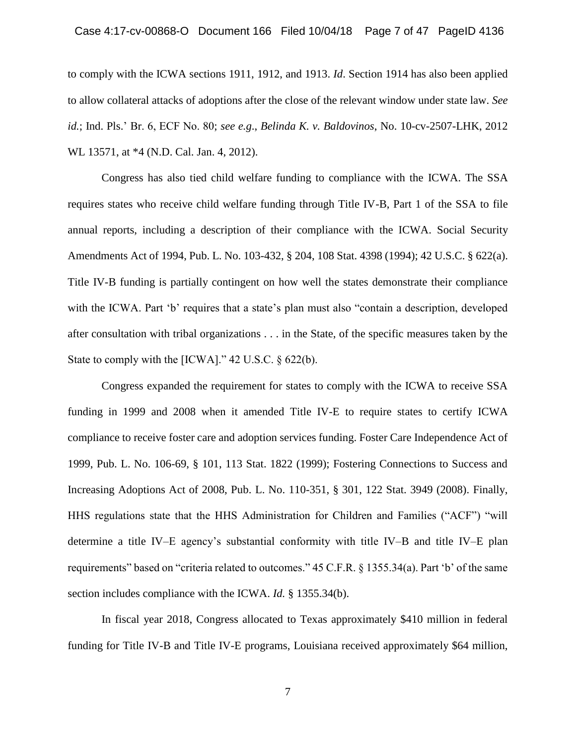### Case 4:17-cv-00868-O Document 166 Filed 10/04/18 Page 7 of 47 PageID 4136

to comply with the ICWA sections 1911, 1912, and 1913. *Id*. Section 1914 has also been applied to allow collateral attacks of adoptions after the close of the relevant window under state law. *See id.*; Ind. Pls.' Br. 6, ECF No. 80; *see e.g*., *Belinda K. v. Baldovinos*, No. 10-cv-2507-LHK, 2012 WL 13571, at \*4 (N.D. Cal. Jan. 4, 2012).

Congress has also tied child welfare funding to compliance with the ICWA. The SSA requires states who receive child welfare funding through Title IV-B, Part 1 of the SSA to file annual reports, including a description of their compliance with the ICWA. Social Security Amendments Act of 1994, Pub. L. No. 103-432, § 204, 108 Stat. 4398 (1994); 42 U.S.C. § 622(a). Title IV-B funding is partially contingent on how well the states demonstrate their compliance with the ICWA. Part 'b' requires that a state's plan must also "contain a description, developed after consultation with tribal organizations . . . in the State, of the specific measures taken by the State to comply with the [ICWA]." 42 U.S.C. § 622(b).

Congress expanded the requirement for states to comply with the ICWA to receive SSA funding in 1999 and 2008 when it amended Title IV-E to require states to certify ICWA compliance to receive foster care and adoption services funding. Foster Care Independence Act of 1999, Pub. L. No. 106-69, § 101, 113 Stat. 1822 (1999); Fostering Connections to Success and Increasing Adoptions Act of 2008, Pub. L. No. 110-351, § 301, 122 Stat. 3949 (2008). Finally, HHS regulations state that the HHS Administration for Children and Families ("ACF") "will determine a title IV–E agency's substantial conformity with title IV–B and title IV–E plan requirements" based on "criteria related to outcomes." 45 C.F.R. § 1355.34(a). Part 'b' of the same section includes compliance with the ICWA. *Id.* § 1355.34(b).

In fiscal year 2018, Congress allocated to Texas approximately \$410 million in federal funding for Title IV-B and Title IV-E programs, Louisiana received approximately \$64 million,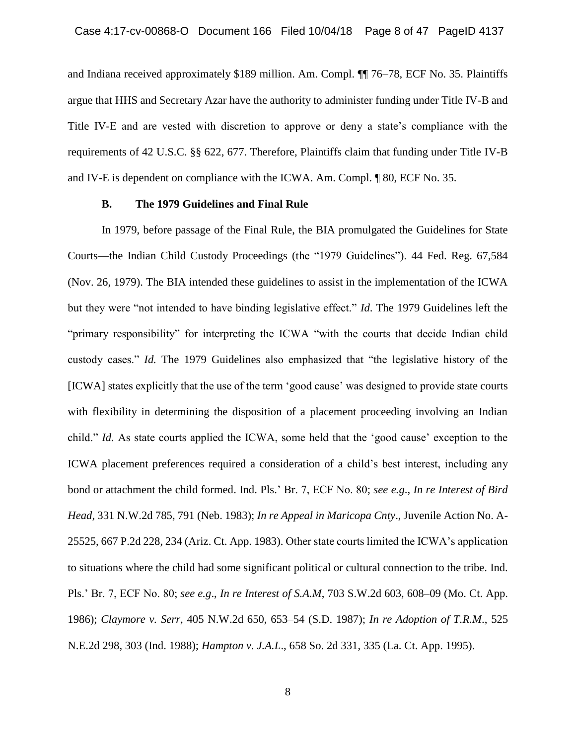and Indiana received approximately \$189 million. Am. Compl. ¶¶ 76–78, ECF No. 35. Plaintiffs argue that HHS and Secretary Azar have the authority to administer funding under Title IV-B and Title IV-E and are vested with discretion to approve or deny a state's compliance with the requirements of 42 U.S.C. §§ 622, 677. Therefore, Plaintiffs claim that funding under Title IV-B and IV-E is dependent on compliance with the ICWA. Am. Compl. ¶ 80, ECF No. 35.

### **B. The 1979 Guidelines and Final Rule**

In 1979, before passage of the Final Rule, the BIA promulgated the Guidelines for State Courts—the Indian Child Custody Proceedings (the "1979 Guidelines"). 44 Fed. Reg. 67,584 (Nov. 26, 1979). The BIA intended these guidelines to assist in the implementation of the ICWA but they were "not intended to have binding legislative effect." *Id*. The 1979 Guidelines left the "primary responsibility" for interpreting the ICWA "with the courts that decide Indian child custody cases." *Id.* The 1979 Guidelines also emphasized that "the legislative history of the [ICWA] states explicitly that the use of the term 'good cause' was designed to provide state courts with flexibility in determining the disposition of a placement proceeding involving an Indian child." *Id.* As state courts applied the ICWA, some held that the 'good cause' exception to the ICWA placement preferences required a consideration of a child's best interest, including any bond or attachment the child formed. Ind. Pls.' Br. 7, ECF No. 80; *see e.g*., *In re Interest of Bird Head*, 331 N.W.2d 785, 791 (Neb. 1983); *In re Appeal in Maricopa Cnty*., Juvenile Action No. A-25525, 667 P.2d 228, 234 (Ariz. Ct. App. 1983). Other state courts limited the ICWA's application to situations where the child had some significant political or cultural connection to the tribe. Ind. Pls.' Br. 7, ECF No. 80; *see e.g*., *In re Interest of S.A.M*, 703 S.W.2d 603, 608–09 (Mo. Ct. App. 1986); *Claymore v. Serr*, 405 N.W.2d 650, 653–54 (S.D. 1987); *In re Adoption of T.R.M*., 525 N.E.2d 298, 303 (Ind. 1988); *Hampton v. J.A.L*., 658 So. 2d 331, 335 (La. Ct. App. 1995).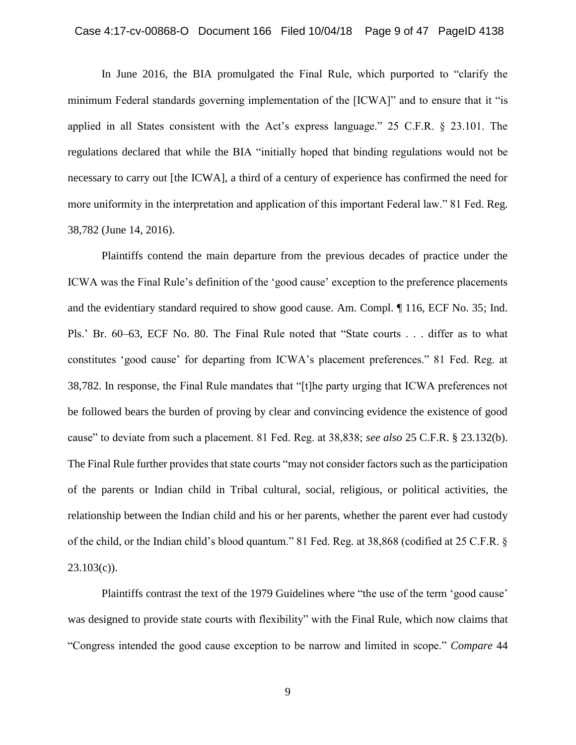### Case 4:17-cv-00868-O Document 166 Filed 10/04/18 Page 9 of 47 PageID 4138

In June 2016, the BIA promulgated the Final Rule, which purported to "clarify the minimum Federal standards governing implementation of the [ICWA]" and to ensure that it "is applied in all States consistent with the Act's express language." 25 C.F.R. § 23.101. The regulations declared that while the BIA "initially hoped that binding regulations would not be necessary to carry out [the ICWA], a third of a century of experience has confirmed the need for more uniformity in the interpretation and application of this important Federal law." 81 Fed. Reg. 38,782 (June 14, 2016).

Plaintiffs contend the main departure from the previous decades of practice under the ICWA was the Final Rule's definition of the 'good cause' exception to the preference placements and the evidentiary standard required to show good cause. Am. Compl. ¶ 116, ECF No. 35; Ind. Pls.' Br. 60–63, ECF No. 80. The Final Rule noted that "State courts . . . differ as to what constitutes 'good cause' for departing from ICWA's placement preferences." 81 Fed. Reg. at 38,782. In response, the Final Rule mandates that "[t]he party urging that ICWA preferences not be followed bears the burden of proving by clear and convincing evidence the existence of good cause" to deviate from such a placement. 81 Fed. Reg. at 38,838; *see also* 25 C.F.R. § 23.132(b). The Final Rule further provides that state courts "may not consider factors such as the participation of the parents or Indian child in Tribal cultural, social, religious, or political activities, the relationship between the Indian child and his or her parents, whether the parent ever had custody of the child, or the Indian child's blood quantum." 81 Fed. Reg. at 38,868 (codified at 25 C.F.R. §  $23.103(c)$ ).

Plaintiffs contrast the text of the 1979 Guidelines where "the use of the term 'good cause' was designed to provide state courts with flexibility" with the Final Rule, which now claims that "Congress intended the good cause exception to be narrow and limited in scope." *Compare* 44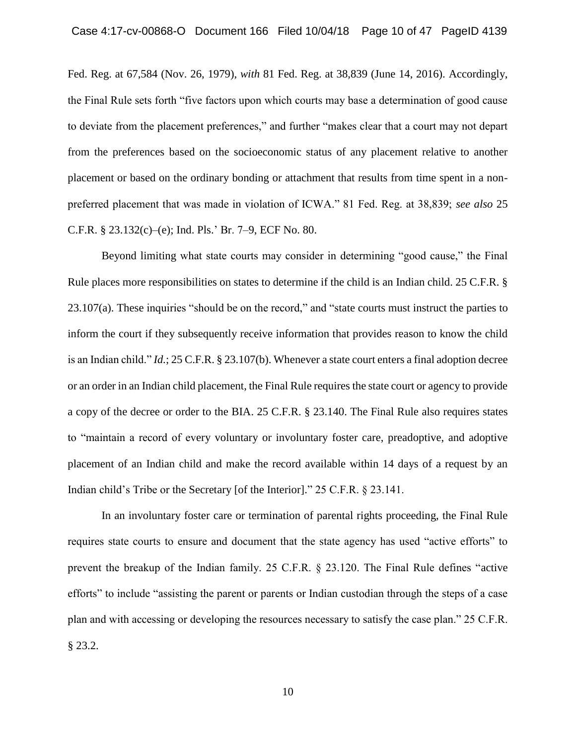Fed. Reg. at 67,584 (Nov. 26, 1979), *with* 81 Fed. Reg. at 38,839 (June 14, 2016). Accordingly, the Final Rule sets forth "five factors upon which courts may base a determination of good cause to deviate from the placement preferences," and further "makes clear that a court may not depart from the preferences based on the socioeconomic status of any placement relative to another placement or based on the ordinary bonding or attachment that results from time spent in a nonpreferred placement that was made in violation of ICWA." 81 Fed. Reg. at 38,839; *see also* 25 C.F.R. § 23.132(c)–(e); Ind. Pls.' Br. 7–9, ECF No. 80.

Beyond limiting what state courts may consider in determining "good cause," the Final Rule places more responsibilities on states to determine if the child is an Indian child. 25 C.F.R. § 23.107(a). These inquiries "should be on the record," and "state courts must instruct the parties to inform the court if they subsequently receive information that provides reason to know the child is an Indian child." *Id.*; 25 C.F.R. § 23.107(b). Whenever a state court enters a final adoption decree or an order in an Indian child placement, the Final Rule requires the state court or agency to provide a copy of the decree or order to the BIA. 25 C.F.R. § 23.140. The Final Rule also requires states to "maintain a record of every voluntary or involuntary foster care, preadoptive, and adoptive placement of an Indian child and make the record available within 14 days of a request by an Indian child's Tribe or the Secretary [of the Interior]." 25 C.F.R. § 23.141.

In an involuntary foster care or termination of parental rights proceeding, the Final Rule requires state courts to ensure and document that the state agency has used "active efforts" to prevent the breakup of the Indian family. 25 C.F.R. § 23.120. The Final Rule defines "active efforts" to include "assisting the parent or parents or Indian custodian through the steps of a case plan and with accessing or developing the resources necessary to satisfy the case plan." 25 C.F.R. § 23.2.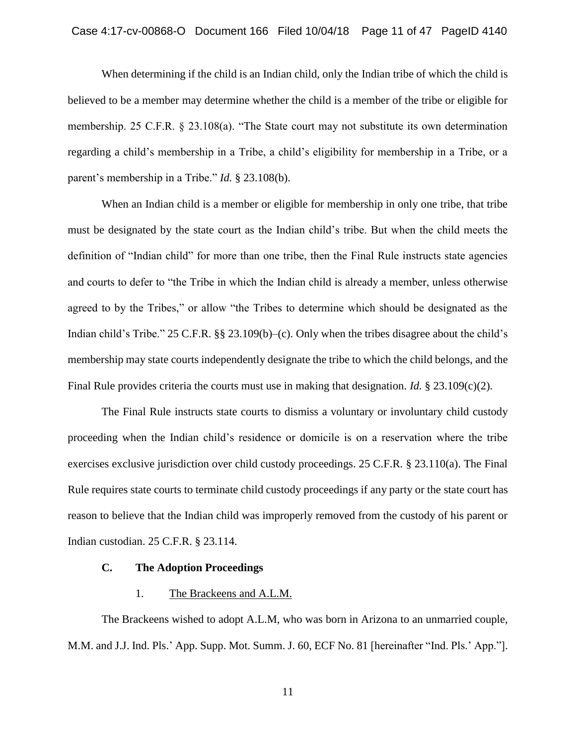When determining if the child is an Indian child, only the Indian tribe of which the child is believed to be a member may determine whether the child is a member of the tribe or eligible for membership. 25 C.F.R. § 23.108(a). "The State court may not substitute its own determination regarding a child's membership in a Tribe, a child's eligibility for membership in a Tribe, or a parent's membership in a Tribe." *Id.* § 23.108(b).

When an Indian child is a member or eligible for membership in only one tribe, that tribe must be designated by the state court as the Indian child's tribe. But when the child meets the definition of "Indian child" for more than one tribe, then the Final Rule instructs state agencies and courts to defer to "the Tribe in which the Indian child is already a member, unless otherwise agreed to by the Tribes," or allow "the Tribes to determine which should be designated as the Indian child's Tribe." 25 C.F.R. §§ 23.109(b)–(c). Only when the tribes disagree about the child's membership may state courts independently designate the tribe to which the child belongs, and the Final Rule provides criteria the courts must use in making that designation. *Id.* § 23.109(c)(2).

The Final Rule instructs state courts to dismiss a voluntary or involuntary child custody proceeding when the Indian child's residence or domicile is on a reservation where the tribe exercises exclusive jurisdiction over child custody proceedings. 25 C.F.R. § 23.110(a). The Final Rule requires state courts to terminate child custody proceedings if any party or the state court has reason to believe that the Indian child was improperly removed from the custody of his parent or Indian custodian. 25 C.F.R. § 23.114.

# **C. The Adoption Proceedings**

### 1. The Brackeens and A.L.M.

The Brackeens wished to adopt A.L.M, who was born in Arizona to an unmarried couple, M.M. and J.J. Ind. Pls.' App. Supp. Mot. Summ. J. 60, ECF No. 81 [hereinafter "Ind. Pls.' App."].

11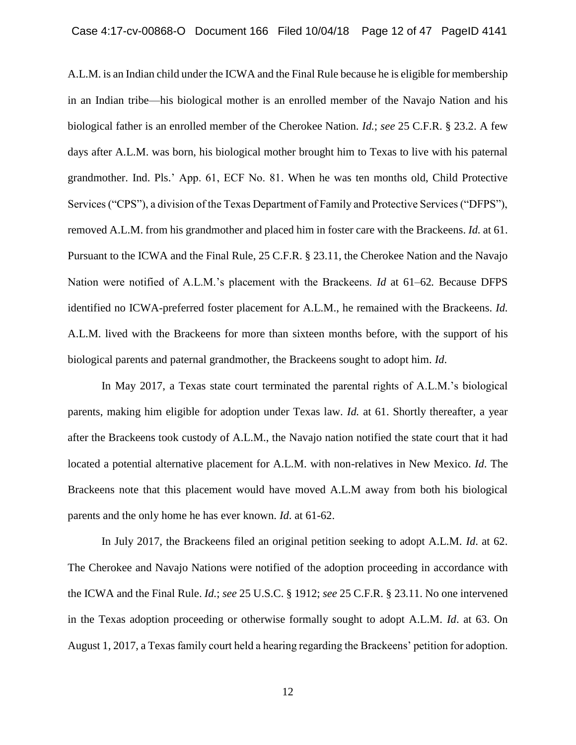A.L.M. is an Indian child under the ICWA and the Final Rule because he is eligible for membership in an Indian tribe—his biological mother is an enrolled member of the Navajo Nation and his biological father is an enrolled member of the Cherokee Nation. *Id.*; *see* 25 C.F.R. § 23.2. A few days after A.L.M. was born, his biological mother brought him to Texas to live with his paternal grandmother. Ind. Pls.' App. 61, ECF No. 81. When he was ten months old, Child Protective Services ("CPS"), a division of the Texas Department of Family and Protective Services ("DFPS"), removed A.L.M. from his grandmother and placed him in foster care with the Brackeens. *Id.* at 61. Pursuant to the ICWA and the Final Rule, 25 C.F.R. § 23.11, the Cherokee Nation and the Navajo Nation were notified of A.L.M.'s placement with the Brackeens. *Id* at 61–62*.* Because DFPS identified no ICWA-preferred foster placement for A.L.M., he remained with the Brackeens. *Id.* A.L.M. lived with the Brackeens for more than sixteen months before, with the support of his biological parents and paternal grandmother, the Brackeens sought to adopt him. *Id*.

In May 2017, a Texas state court terminated the parental rights of A.L.M.'s biological parents, making him eligible for adoption under Texas law. *Id.* at 61. Shortly thereafter, a year after the Brackeens took custody of A.L.M., the Navajo nation notified the state court that it had located a potential alternative placement for A.L.M. with non-relatives in New Mexico. *Id*. The Brackeens note that this placement would have moved A.L.M away from both his biological parents and the only home he has ever known. *Id*. at 61-62.

In July 2017, the Brackeens filed an original petition seeking to adopt A.L.M. *Id*. at 62. The Cherokee and Navajo Nations were notified of the adoption proceeding in accordance with the ICWA and the Final Rule. *Id.*; *see* 25 U.S.C. § 1912; *see* 25 C.F.R. § 23.11. No one intervened in the Texas adoption proceeding or otherwise formally sought to adopt A.L.M. *Id*. at 63. On August 1, 2017, a Texas family court held a hearing regarding the Brackeens' petition for adoption.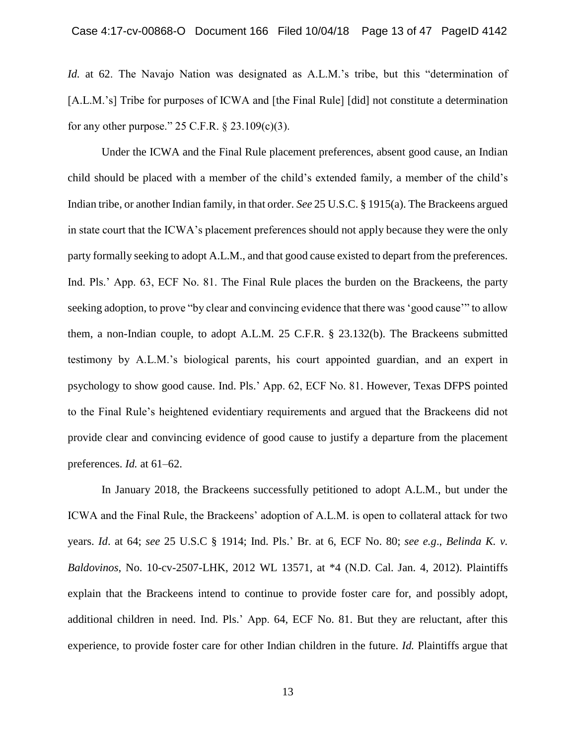*Id.* at 62. The Navajo Nation was designated as A.L.M.'s tribe, but this "determination of [A.L.M.'s] Tribe for purposes of ICWA and [the Final Rule] [did] not constitute a determination for any other purpose."  $25$  C.F.R.  $\S$   $23.109(c)(3)$ .

Under the ICWA and the Final Rule placement preferences, absent good cause, an Indian child should be placed with a member of the child's extended family, a member of the child's Indian tribe, or another Indian family, in that order. *See* 25 U.S.C. § 1915(a). The Brackeens argued in state court that the ICWA's placement preferences should not apply because they were the only party formally seeking to adopt A.L.M., and that good cause existed to depart from the preferences. Ind. Pls.' App. 63, ECF No. 81. The Final Rule places the burden on the Brackeens, the party seeking adoption, to prove "by clear and convincing evidence that there was 'good cause'" to allow them, a non-Indian couple, to adopt A.L.M. 25 C.F.R. § 23.132(b). The Brackeens submitted testimony by A.L.M.'s biological parents, his court appointed guardian, and an expert in psychology to show good cause. Ind. Pls.' App. 62, ECF No. 81. However, Texas DFPS pointed to the Final Rule's heightened evidentiary requirements and argued that the Brackeens did not provide clear and convincing evidence of good cause to justify a departure from the placement preferences. *Id.* at 61–62.

In January 2018, the Brackeens successfully petitioned to adopt A.L.M., but under the ICWA and the Final Rule, the Brackeens' adoption of A.L.M. is open to collateral attack for two years. *Id*. at 64; *see* 25 U.S.C § 1914; Ind. Pls.' Br. at 6, ECF No. 80; *see e.g*., *Belinda K. v. Baldovinos*, No. 10-cv-2507-LHK, 2012 WL 13571, at \*4 (N.D. Cal. Jan. 4, 2012). Plaintiffs explain that the Brackeens intend to continue to provide foster care for, and possibly adopt, additional children in need. Ind. Pls.' App. 64, ECF No. 81. But they are reluctant, after this experience, to provide foster care for other Indian children in the future. *Id.* Plaintiffs argue that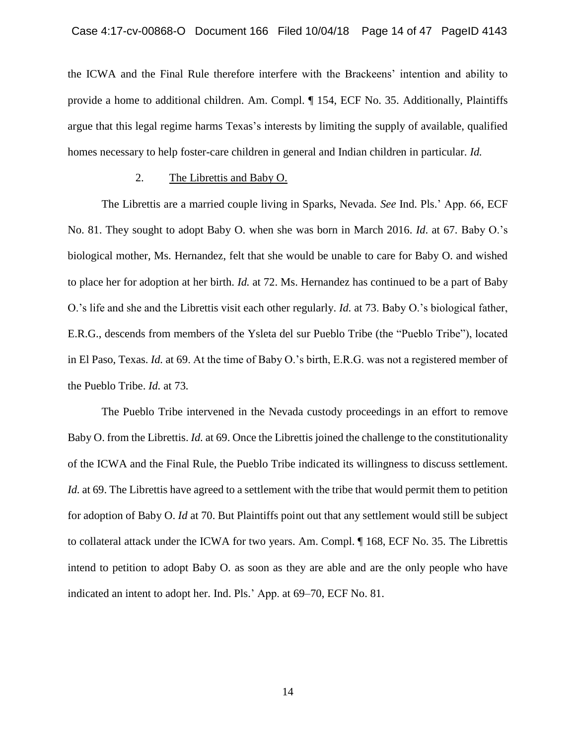the ICWA and the Final Rule therefore interfere with the Brackeens' intention and ability to provide a home to additional children. Am. Compl. ¶ 154, ECF No. 35. Additionally, Plaintiffs argue that this legal regime harms Texas's interests by limiting the supply of available, qualified homes necessary to help foster-care children in general and Indian children in particular. *Id.*

## 2. The Librettis and Baby O.

The Librettis are a married couple living in Sparks, Nevada. *See* Ind. Pls.' App. 66, ECF No. 81. They sought to adopt Baby O. when she was born in March 2016. *Id*. at 67. Baby O.'s biological mother, Ms. Hernandez, felt that she would be unable to care for Baby O. and wished to place her for adoption at her birth. *Id.* at 72. Ms. Hernandez has continued to be a part of Baby O.'s life and she and the Librettis visit each other regularly. *Id.* at 73. Baby O.'s biological father, E.R.G., descends from members of the Ysleta del sur Pueblo Tribe (the "Pueblo Tribe"), located in El Paso, Texas. *Id.* at 69. At the time of Baby O.'s birth, E.R.G. was not a registered member of the Pueblo Tribe. *Id.* at 73*.*

The Pueblo Tribe intervened in the Nevada custody proceedings in an effort to remove Baby O. from the Librettis. *Id.* at 69. Once the Librettis joined the challenge to the constitutionality of the ICWA and the Final Rule, the Pueblo Tribe indicated its willingness to discuss settlement. *Id.* at 69. The Librettis have agreed to a settlement with the tribe that would permit them to petition for adoption of Baby O. *Id* at 70. But Plaintiffs point out that any settlement would still be subject to collateral attack under the ICWA for two years. Am. Compl. ¶ 168, ECF No. 35. The Librettis intend to petition to adopt Baby O. as soon as they are able and are the only people who have indicated an intent to adopt her. Ind. Pls.' App. at 69–70, ECF No. 81.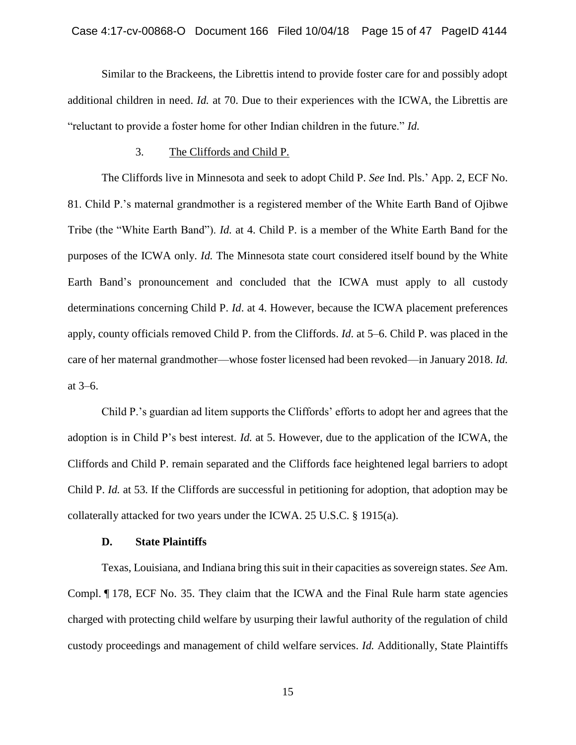Similar to the Brackeens, the Librettis intend to provide foster care for and possibly adopt additional children in need. *Id.* at 70. Due to their experiences with the ICWA, the Librettis are "reluctant to provide a foster home for other Indian children in the future." *Id.*

#### 3. The Cliffords and Child P.

The Cliffords live in Minnesota and seek to adopt Child P. *See* Ind. Pls.' App. 2, ECF No. 81. Child P.'s maternal grandmother is a registered member of the White Earth Band of Ojibwe Tribe (the "White Earth Band"). *Id.* at 4. Child P. is a member of the White Earth Band for the purposes of the ICWA only. *Id.* The Minnesota state court considered itself bound by the White Earth Band's pronouncement and concluded that the ICWA must apply to all custody determinations concerning Child P. *Id*. at 4. However, because the ICWA placement preferences apply, county officials removed Child P. from the Cliffords. *Id*. at 5–6. Child P. was placed in the care of her maternal grandmother—whose foster licensed had been revoked—in January 2018. *Id.* at 3–6.

Child P.'s guardian ad litem supports the Cliffords' efforts to adopt her and agrees that the adoption is in Child P's best interest. *Id.* at 5. However, due to the application of the ICWA, the Cliffords and Child P. remain separated and the Cliffords face heightened legal barriers to adopt Child P. *Id.* at 53*.* If the Cliffords are successful in petitioning for adoption, that adoption may be collaterally attacked for two years under the ICWA. 25 U.S.C. § 1915(a).

### **D. State Plaintiffs**

Texas, Louisiana, and Indiana bring this suit in their capacities as sovereign states. *See* Am. Compl. ¶ 178, ECF No. 35. They claim that the ICWA and the Final Rule harm state agencies charged with protecting child welfare by usurping their lawful authority of the regulation of child custody proceedings and management of child welfare services. *Id.* Additionally, State Plaintiffs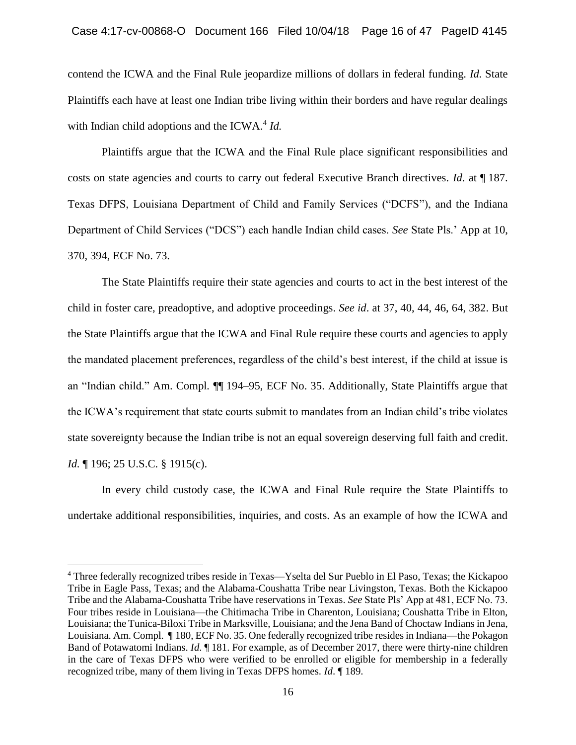contend the ICWA and the Final Rule jeopardize millions of dollars in federal funding. *Id.* State Plaintiffs each have at least one Indian tribe living within their borders and have regular dealings with Indian child adoptions and the ICWA.<sup>4</sup> Id.

Plaintiffs argue that the ICWA and the Final Rule place significant responsibilities and costs on state agencies and courts to carry out federal Executive Branch directives. *Id*. at ¶ 187. Texas DFPS, Louisiana Department of Child and Family Services ("DCFS"), and the Indiana Department of Child Services ("DCS") each handle Indian child cases. *See* State Pls.' App at 10, 370, 394, ECF No. 73.

The State Plaintiffs require their state agencies and courts to act in the best interest of the child in foster care, preadoptive, and adoptive proceedings. *See id*. at 37, 40, 44, 46, 64, 382. But the State Plaintiffs argue that the ICWA and Final Rule require these courts and agencies to apply the mandated placement preferences, regardless of the child's best interest, if the child at issue is an "Indian child." Am. Compl*.* ¶¶ 194–95, ECF No. 35. Additionally, State Plaintiffs argue that the ICWA's requirement that state courts submit to mandates from an Indian child's tribe violates state sovereignty because the Indian tribe is not an equal sovereign deserving full faith and credit. *Id.* 196; 25 U.S.C. § 1915(c).

In every child custody case, the ICWA and Final Rule require the State Plaintiffs to undertake additional responsibilities, inquiries, and costs. As an example of how the ICWA and

<sup>4</sup> Three federally recognized tribes reside in Texas—Yselta del Sur Pueblo in El Paso, Texas; the Kickapoo Tribe in Eagle Pass, Texas; and the Alabama-Coushatta Tribe near Livingston, Texas. Both the Kickapoo Tribe and the Alabama-Coushatta Tribe have reservations in Texas. *See* State Pls' App at 481, ECF No. 73. Four tribes reside in Louisiana—the Chitimacha Tribe in Charenton, Louisiana; Coushatta Tribe in Elton, Louisiana; the Tunica-Biloxi Tribe in Marksville, Louisiana; and the Jena Band of Choctaw Indians in Jena, Louisiana. Am. Compl*.* ¶ 180, ECF No. 35. One federally recognized tribe resides in Indiana—the Pokagon Band of Potawatomi Indians. *Id*. ¶ 181. For example, as of December 2017, there were thirty-nine children in the care of Texas DFPS who were verified to be enrolled or eligible for membership in a federally recognized tribe, many of them living in Texas DFPS homes. *Id*. ¶ 189.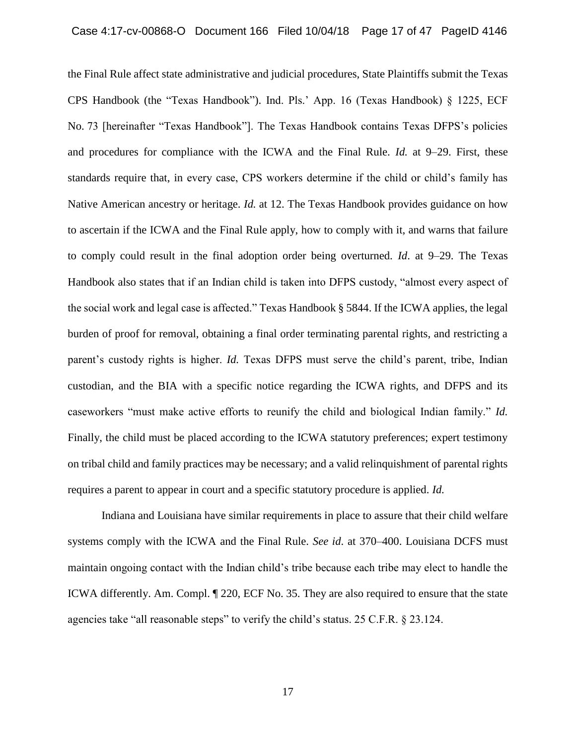the Final Rule affect state administrative and judicial procedures, State Plaintiffs submit the Texas CPS Handbook (the "Texas Handbook"). Ind. Pls.' App. 16 (Texas Handbook) § 1225, ECF No. 73 [hereinafter "Texas Handbook"]. The Texas Handbook contains Texas DFPS's policies and procedures for compliance with the ICWA and the Final Rule. *Id.* at 9–29. First, these standards require that, in every case, CPS workers determine if the child or child's family has Native American ancestry or heritage. *Id.* at 12. The Texas Handbook provides guidance on how to ascertain if the ICWA and the Final Rule apply, how to comply with it, and warns that failure to comply could result in the final adoption order being overturned. *Id*. at 9–29. The Texas Handbook also states that if an Indian child is taken into DFPS custody, "almost every aspect of the social work and legal case is affected." Texas Handbook § 5844. If the ICWA applies, the legal burden of proof for removal, obtaining a final order terminating parental rights, and restricting a parent's custody rights is higher. *Id.* Texas DFPS must serve the child's parent, tribe, Indian custodian, and the BIA with a specific notice regarding the ICWA rights, and DFPS and its caseworkers "must make active efforts to reunify the child and biological Indian family." *Id.* Finally, the child must be placed according to the ICWA statutory preferences; expert testimony on tribal child and family practices may be necessary; and a valid relinquishment of parental rights requires a parent to appear in court and a specific statutory procedure is applied. *Id.*

Indiana and Louisiana have similar requirements in place to assure that their child welfare systems comply with the ICWA and the Final Rule. *See id*. at 370–400. Louisiana DCFS must maintain ongoing contact with the Indian child's tribe because each tribe may elect to handle the ICWA differently. Am. Compl. ¶ 220, ECF No. 35. They are also required to ensure that the state agencies take "all reasonable steps" to verify the child's status. 25 C.F.R. § 23.124.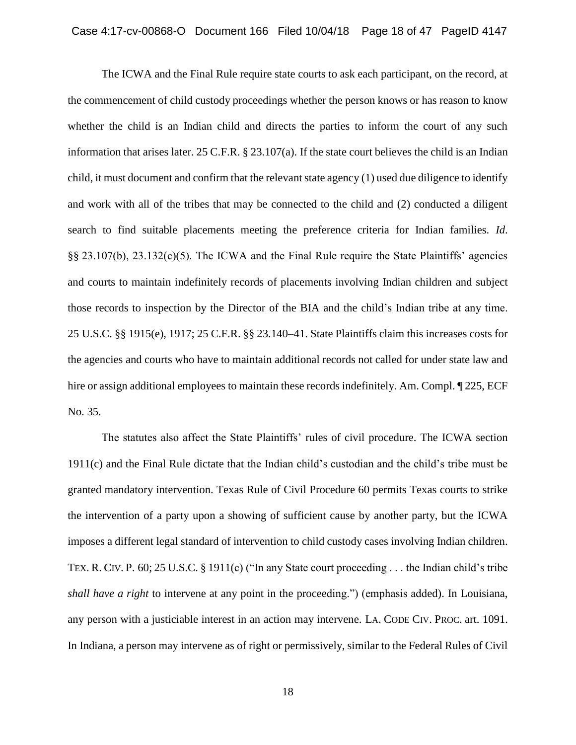The ICWA and the Final Rule require state courts to ask each participant, on the record, at the commencement of child custody proceedings whether the person knows or has reason to know whether the child is an Indian child and directs the parties to inform the court of any such information that arises later. 25 C.F.R. § 23.107(a). If the state court believes the child is an Indian child, it must document and confirm that the relevant state agency (1) used due diligence to identify and work with all of the tribes that may be connected to the child and (2) conducted a diligent search to find suitable placements meeting the preference criteria for Indian families. *Id*. §§ 23.107(b), 23.132(c)(5). The ICWA and the Final Rule require the State Plaintiffs' agencies and courts to maintain indefinitely records of placements involving Indian children and subject those records to inspection by the Director of the BIA and the child's Indian tribe at any time. 25 U.S.C. §§ 1915(e), 1917; 25 C.F.R. §§ 23.140–41. State Plaintiffs claim this increases costs for the agencies and courts who have to maintain additional records not called for under state law and hire or assign additional employees to maintain these records indefinitely. Am. Compl.  $\P$  225, ECF No. 35.

The statutes also affect the State Plaintiffs' rules of civil procedure. The ICWA section 1911(c) and the Final Rule dictate that the Indian child's custodian and the child's tribe must be granted mandatory intervention. Texas Rule of Civil Procedure 60 permits Texas courts to strike the intervention of a party upon a showing of sufficient cause by another party, but the ICWA imposes a different legal standard of intervention to child custody cases involving Indian children. TEX. R. CIV. P. 60; 25 U.S.C. § 1911(c) ("In any State court proceeding . . . the Indian child's tribe *shall have a right* to intervene at any point in the proceeding.") (emphasis added). In Louisiana, any person with a justiciable interest in an action may intervene. LA. CODE CIV. PROC. art. 1091. In Indiana, a person may intervene as of right or permissively, similar to the Federal Rules of Civil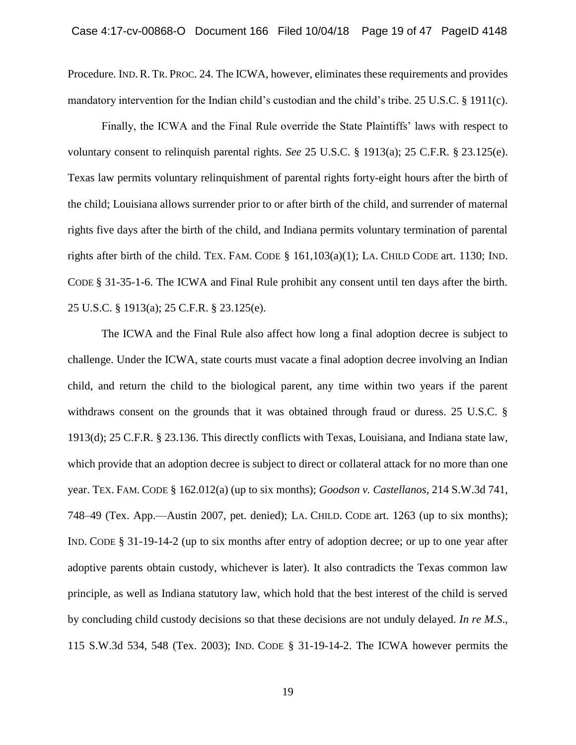Procedure. IND.R. TR. PROC. 24. The ICWA, however, eliminates these requirements and provides mandatory intervention for the Indian child's custodian and the child's tribe. 25 U.S.C. § 1911(c).

Finally, the ICWA and the Final Rule override the State Plaintiffs' laws with respect to voluntary consent to relinquish parental rights. *See* 25 U.S.C. § 1913(a); 25 C.F.R. § 23.125(e). Texas law permits voluntary relinquishment of parental rights forty-eight hours after the birth of the child; Louisiana allows surrender prior to or after birth of the child, and surrender of maternal rights five days after the birth of the child, and Indiana permits voluntary termination of parental rights after birth of the child. TEX. FAM. CODE  $\S$  161,103(a)(1); LA. CHILD CODE art. 1130; IND. CODE § 31-35-1-6. The ICWA and Final Rule prohibit any consent until ten days after the birth. 25 U.S.C. § 1913(a); 25 C.F.R. § 23.125(e).

The ICWA and the Final Rule also affect how long a final adoption decree is subject to challenge. Under the ICWA, state courts must vacate a final adoption decree involving an Indian child, and return the child to the biological parent, any time within two years if the parent withdraws consent on the grounds that it was obtained through fraud or duress. 25 U.S.C. § 1913(d); 25 C.F.R. § 23.136. This directly conflicts with Texas, Louisiana, and Indiana state law, which provide that an adoption decree is subject to direct or collateral attack for no more than one year. TEX. FAM. CODE § 162.012(a) (up to six months); *Goodson v. Castellanos*, 214 S.W.3d 741, 748–49 (Tex. App.—Austin 2007, pet. denied); LA. CHILD. CODE art. 1263 (up to six months); IND. CODE § 31-19-14-2 (up to six months after entry of adoption decree; or up to one year after adoptive parents obtain custody, whichever is later). It also contradicts the Texas common law principle, as well as Indiana statutory law, which hold that the best interest of the child is served by concluding child custody decisions so that these decisions are not unduly delayed. *In re M.S*., 115 S.W.3d 534, 548 (Tex. 2003); IND. CODE § 31-19-14-2. The ICWA however permits the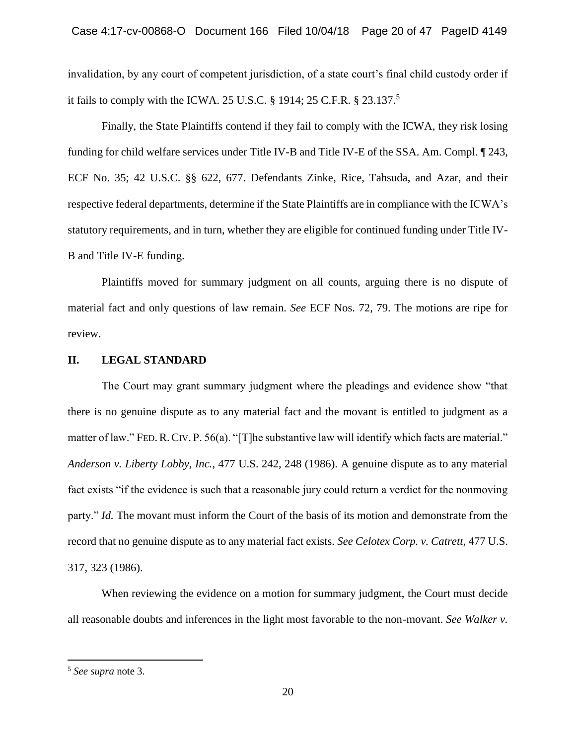invalidation, by any court of competent jurisdiction, of a state court's final child custody order if it fails to comply with the ICWA. 25 U.S.C. § 1914; 25 C.F.R. § 23.137.<sup>5</sup>

Finally, the State Plaintiffs contend if they fail to comply with the ICWA, they risk losing funding for child welfare services under Title IV-B and Title IV-E of the SSA. Am. Compl. ¶ 243, ECF No. 35; 42 U.S.C. §§ 622, 677. Defendants Zinke, Rice, Tahsuda, and Azar, and their respective federal departments, determine if the State Plaintiffs are in compliance with the ICWA's statutory requirements, and in turn, whether they are eligible for continued funding under Title IV-B and Title IV-E funding.

Plaintiffs moved for summary judgment on all counts, arguing there is no dispute of material fact and only questions of law remain. *See* ECF Nos. 72, 79. The motions are ripe for review.

# **II. LEGAL STANDARD**

The Court may grant summary judgment where the pleadings and evidence show "that there is no genuine dispute as to any material fact and the movant is entitled to judgment as a matter of law." FED. R. CIV. P. 56(a). "[T]he substantive law will identify which facts are material." *Anderson v. Liberty Lobby, Inc.*, 477 U.S. 242, 248 (1986). A genuine dispute as to any material fact exists "if the evidence is such that a reasonable jury could return a verdict for the nonmoving party." *Id.* The movant must inform the Court of the basis of its motion and demonstrate from the record that no genuine dispute as to any material fact exists. *See Celotex Corp. v. Catrett*, 477 U.S. 317, 323 (1986).

When reviewing the evidence on a motion for summary judgment, the Court must decide all reasonable doubts and inferences in the light most favorable to the non-movant. *See Walker v.* 

<sup>5</sup> *See supra* note 3.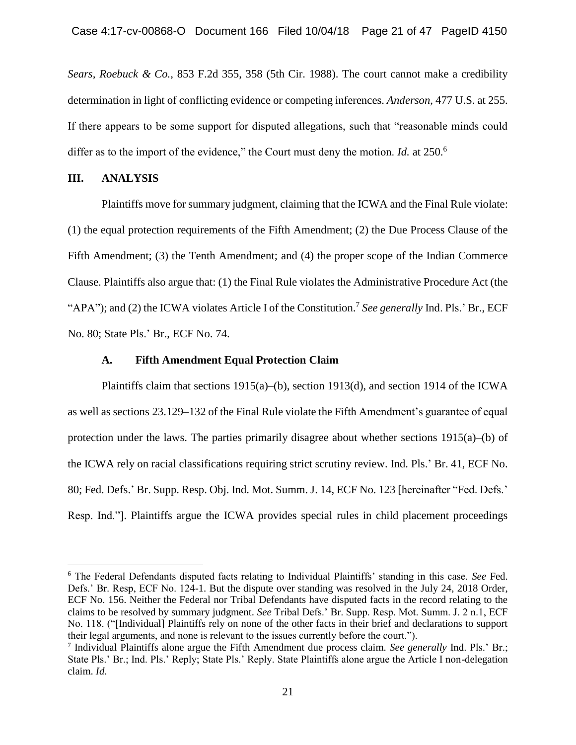*Sears, Roebuck & Co.*, 853 F.2d 355, 358 (5th Cir. 1988). The court cannot make a credibility determination in light of conflicting evidence or competing inferences. *Anderson*, 477 U.S. at 255. If there appears to be some support for disputed allegations, such that "reasonable minds could differ as to the import of the evidence," the Court must deny the motion. *Id.* at 250.<sup>6</sup>

# **III. ANALYSIS**

 $\overline{a}$ 

Plaintiffs move for summary judgment, claiming that the ICWA and the Final Rule violate: (1) the equal protection requirements of the Fifth Amendment; (2) the Due Process Clause of the Fifth Amendment; (3) the Tenth Amendment; and (4) the proper scope of the Indian Commerce Clause. Plaintiffs also argue that: (1) the Final Rule violates the Administrative Procedure Act (the "APA"); and (2) the ICWA violates Article I of the Constitution.<sup>7</sup> See generally Ind. Pls.' Br., ECF No. 80; State Pls.' Br., ECF No. 74.

### **A. Fifth Amendment Equal Protection Claim**

Plaintiffs claim that sections 1915(a)–(b), section 1913(d), and section 1914 of the ICWA as well as sections 23.129–132 of the Final Rule violate the Fifth Amendment's guarantee of equal protection under the laws. The parties primarily disagree about whether sections  $1915(a)$ –(b) of the ICWA rely on racial classifications requiring strict scrutiny review. Ind. Pls.' Br. 41, ECF No. 80; Fed. Defs.' Br. Supp. Resp. Obj. Ind. Mot. Summ. J. 14, ECF No. 123 [hereinafter "Fed. Defs.' Resp. Ind."]. Plaintiffs argue the ICWA provides special rules in child placement proceedings

<sup>6</sup> The Federal Defendants disputed facts relating to Individual Plaintiffs' standing in this case. *See* Fed. Defs.' Br. Resp, ECF No. 124-1. But the dispute over standing was resolved in the July 24, 2018 Order, ECF No. 156. Neither the Federal nor Tribal Defendants have disputed facts in the record relating to the claims to be resolved by summary judgment. *See* Tribal Defs.' Br. Supp. Resp. Mot. Summ. J. 2 n.1, ECF No. 118. ("[Individual] Plaintiffs rely on none of the other facts in their brief and declarations to support their legal arguments, and none is relevant to the issues currently before the court.").

<sup>7</sup> Individual Plaintiffs alone argue the Fifth Amendment due process claim. *See generally* Ind. Pls.' Br.; State Pls.' Br.; Ind. Pls.' Reply; State Pls.' Reply. State Plaintiffs alone argue the Article I non-delegation claim. *Id*.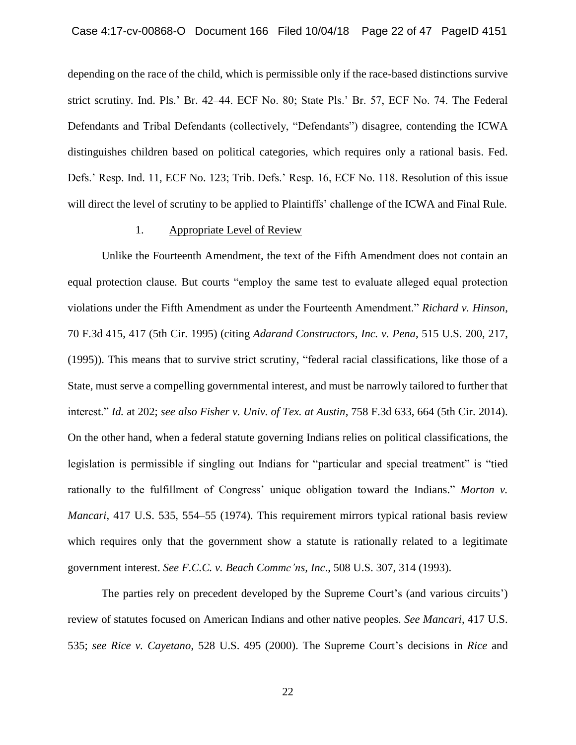depending on the race of the child, which is permissible only if the race-based distinctions survive strict scrutiny. Ind. Pls.' Br. 42–44. ECF No. 80; State Pls.' Br. 57, ECF No. 74. The Federal Defendants and Tribal Defendants (collectively, "Defendants") disagree, contending the ICWA distinguishes children based on political categories, which requires only a rational basis. Fed. Defs.' Resp. Ind. 11, ECF No. 123; Trib. Defs.' Resp. 16, ECF No. 118. Resolution of this issue will direct the level of scrutiny to be applied to Plaintiffs' challenge of the ICWA and Final Rule.

## 1. Appropriate Level of Review

Unlike the Fourteenth Amendment, the text of the Fifth Amendment does not contain an equal protection clause. But courts "employ the same test to evaluate alleged equal protection violations under the Fifth Amendment as under the Fourteenth Amendment." *Richard v. Hinson*, 70 F.3d 415, 417 (5th Cir. 1995) (citing *Adarand Constructors, Inc. v. Pena*, 515 U.S. 200, 217, (1995)). This means that to survive strict scrutiny, "federal racial classifications, like those of a State, must serve a compelling governmental interest, and must be narrowly tailored to further that interest." *Id.* at 202; *see also Fisher v. Univ. of Tex. at Austin*, 758 F.3d 633, 664 (5th Cir. 2014). On the other hand, when a federal statute governing Indians relies on political classifications, the legislation is permissible if singling out Indians for "particular and special treatment" is "tied rationally to the fulfillment of Congress' unique obligation toward the Indians." *Morton v. Mancari*, 417 U.S. 535, 554–55 (1974). This requirement mirrors typical rational basis review which requires only that the government show a statute is rationally related to a legitimate government interest. *See F.C.C. v. Beach Commc'ns, Inc*., 508 U.S. 307, 314 (1993).

The parties rely on precedent developed by the Supreme Court's (and various circuits') review of statutes focused on American Indians and other native peoples. *See Mancari*, 417 U.S. 535; *see Rice v. Cayetano*, 528 U.S. 495 (2000). The Supreme Court's decisions in *Rice* and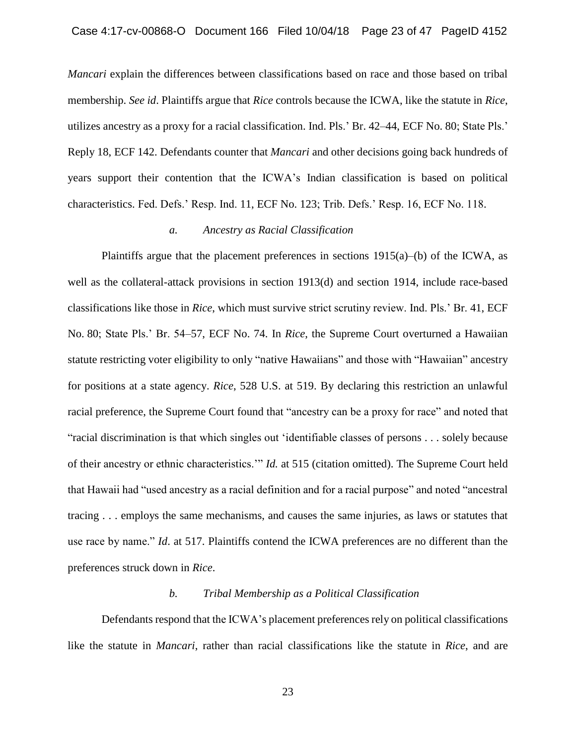*Mancari* explain the differences between classifications based on race and those based on tribal membership. *See id*. Plaintiffs argue that *Rice* controls because the ICWA, like the statute in *Rice*, utilizes ancestry as a proxy for a racial classification. Ind. Pls.' Br. 42–44, ECF No. 80; State Pls.' Reply 18, ECF 142. Defendants counter that *Mancari* and other decisions going back hundreds of years support their contention that the ICWA's Indian classification is based on political characteristics. Fed. Defs.' Resp. Ind. 11, ECF No. 123; Trib. Defs.' Resp. 16, ECF No. 118.

# *a. Ancestry as Racial Classification*

Plaintiffs argue that the placement preferences in sections  $1915(a)$ –(b) of the ICWA, as well as the collateral-attack provisions in section 1913(d) and section 1914, include race-based classifications like those in *Rice*, which must survive strict scrutiny review. Ind. Pls.' Br. 41, ECF No. 80; State Pls.' Br. 54–57, ECF No. 74. In *Rice*, the Supreme Court overturned a Hawaiian statute restricting voter eligibility to only "native Hawaiians" and those with "Hawaiian" ancestry for positions at a state agency. *Rice*, 528 U.S. at 519. By declaring this restriction an unlawful racial preference, the Supreme Court found that "ancestry can be a proxy for race" and noted that "racial discrimination is that which singles out 'identifiable classes of persons . . . solely because of their ancestry or ethnic characteristics.'" *Id.* at 515 (citation omitted). The Supreme Court held that Hawaii had "used ancestry as a racial definition and for a racial purpose" and noted "ancestral tracing . . . employs the same mechanisms, and causes the same injuries, as laws or statutes that use race by name." *Id*. at 517. Plaintiffs contend the ICWA preferences are no different than the preferences struck down in *Rice*.

# *b. Tribal Membership as a Political Classification*

Defendants respond that the ICWA's placement preferences rely on political classifications like the statute in *Mancari*, rather than racial classifications like the statute in *Rice*, and are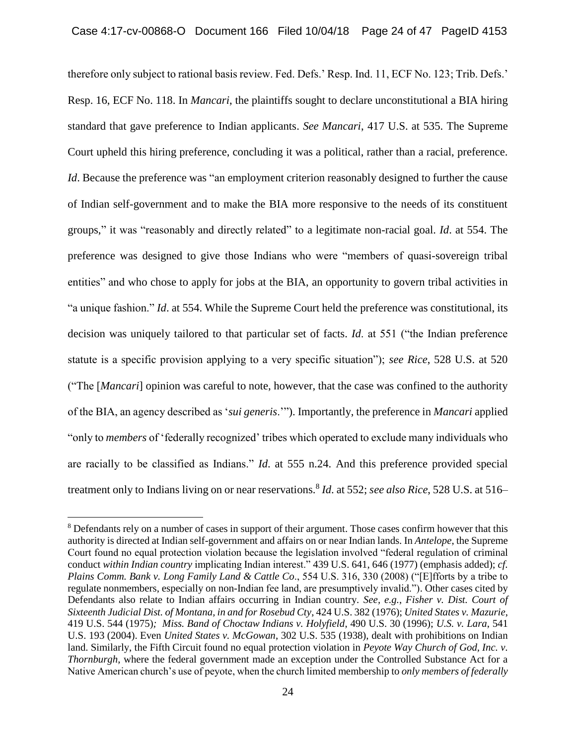therefore only subject to rational basis review. Fed. Defs.' Resp. Ind. 11, ECF No. 123; Trib. Defs.' Resp. 16, ECF No. 118. In *Mancari*, the plaintiffs sought to declare unconstitutional a BIA hiring standard that gave preference to Indian applicants. *See Mancari*, 417 U.S. at 535. The Supreme Court upheld this hiring preference, concluding it was a political, rather than a racial, preference. *Id*. Because the preference was "an employment criterion reasonably designed to further the cause of Indian self-government and to make the BIA more responsive to the needs of its constituent groups," it was "reasonably and directly related" to a legitimate non-racial goal. *Id*. at 554. The preference was designed to give those Indians who were "members of quasi-sovereign tribal entities" and who chose to apply for jobs at the BIA, an opportunity to govern tribal activities in "a unique fashion." *Id*. at 554. While the Supreme Court held the preference was constitutional, its decision was uniquely tailored to that particular set of facts. *Id*. at 551 ("the Indian preference statute is a specific provision applying to a very specific situation"); *see Rice*, 528 U.S. at 520 ("The [*Mancari*] opinion was careful to note, however, that the case was confined to the authority of the BIA, an agency described as '*sui generis*.'"). Importantly, the preference in *Mancari* applied "only to *members* of 'federally recognized' tribes which operated to exclude many individuals who are racially to be classified as Indians." *Id*. at 555 n.24. And this preference provided special treatment only to Indians living on or near reservations.<sup>8</sup> *Id*. at 552; *see also Rice*, 528 U.S. at 516–

<sup>&</sup>lt;sup>8</sup> Defendants rely on a number of cases in support of their argument. Those cases confirm however that this authority is directed at Indian self-government and affairs on or near Indian lands. In *Antelope*, the Supreme Court found no equal protection violation because the legislation involved "federal regulation of criminal conduct *within Indian country* implicating Indian interest." 439 U.S. 641, 646 (1977) (emphasis added); *cf. Plains Comm. Bank v. Long Family Land & Cattle Co*., 554 U.S. 316, 330 (2008) ("[E]fforts by a tribe to regulate nonmembers, especially on non-Indian fee land, are presumptively invalid."). Other cases cited by Defendants also relate to Indian affairs occurring in Indian country. *See, e.g.*, *Fisher v. Dist. Court of Sixteenth Judicial Dist. of Montana, in and for Rosebud Cty*, 424 U.S. 382 (1976); *United States v. Mazurie*, 419 U.S. 544 (1975)*; Miss. Band of Choctaw Indians v. Holyfield*, 490 U.S. 30 (1996); *U.S. v. Lara*, 541 U.S. 193 (2004). Even *United States v. McGowan*, 302 U.S. 535 (1938), dealt with prohibitions on Indian land. Similarly, the Fifth Circuit found no equal protection violation in *Peyote Way Church of God, Inc. v. Thornburgh*, where the federal government made an exception under the Controlled Substance Act for a Native American church's use of peyote, when the church limited membership to *only members of federally*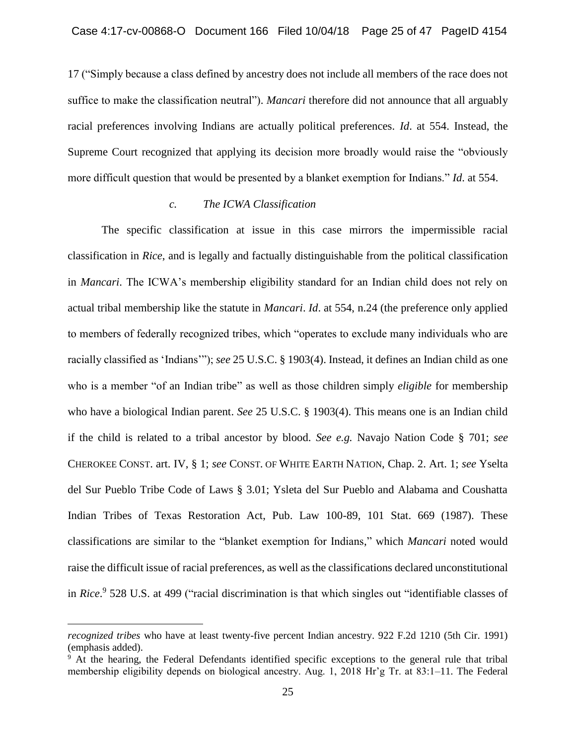17 ("Simply because a class defined by ancestry does not include all members of the race does not suffice to make the classification neutral"). *Mancari* therefore did not announce that all arguably racial preferences involving Indians are actually political preferences. *Id*. at 554. Instead, the Supreme Court recognized that applying its decision more broadly would raise the "obviously more difficult question that would be presented by a blanket exemption for Indians." *Id*. at 554.

# *c. The ICWA Classification*

The specific classification at issue in this case mirrors the impermissible racial classification in *Rice*, and is legally and factually distinguishable from the political classification in *Mancari*. The ICWA's membership eligibility standard for an Indian child does not rely on actual tribal membership like the statute in *Mancari*. *Id*. at 554, n.24 (the preference only applied to members of federally recognized tribes, which "operates to exclude many individuals who are racially classified as 'Indians'"); *see* 25 U.S.C. § 1903(4). Instead, it defines an Indian child as one who is a member "of an Indian tribe" as well as those children simply *eligible* for membership who have a biological Indian parent. *See* 25 U.S.C. § 1903(4). This means one is an Indian child if the child is related to a tribal ancestor by blood. *See e.g.* Navajo Nation Code § 701; *see* CHEROKEE CONST. art. IV, § 1; *see* CONST. OF WHITE EARTH NATION, Chap. 2. Art. 1; *see* Yselta del Sur Pueblo Tribe Code of Laws § 3.01; Ysleta del Sur Pueblo and Alabama and Coushatta Indian Tribes of Texas Restoration Act, Pub. Law 100-89, 101 Stat. 669 (1987). These classifications are similar to the "blanket exemption for Indians," which *Mancari* noted would raise the difficult issue of racial preferences, as well as the classifications declared unconstitutional in *Rice*. 9 528 U.S. at 499 ("racial discrimination is that which singles out "identifiable classes of

*recognized tribes* who have at least twenty-five percent Indian ancestry. 922 F.2d 1210 (5th Cir. 1991) (emphasis added).

<sup>&</sup>lt;sup>9</sup> At the hearing, the Federal Defendants identified specific exceptions to the general rule that tribal membership eligibility depends on biological ancestry. Aug. 1, 2018 Hr'g Tr. at 83:1–11. The Federal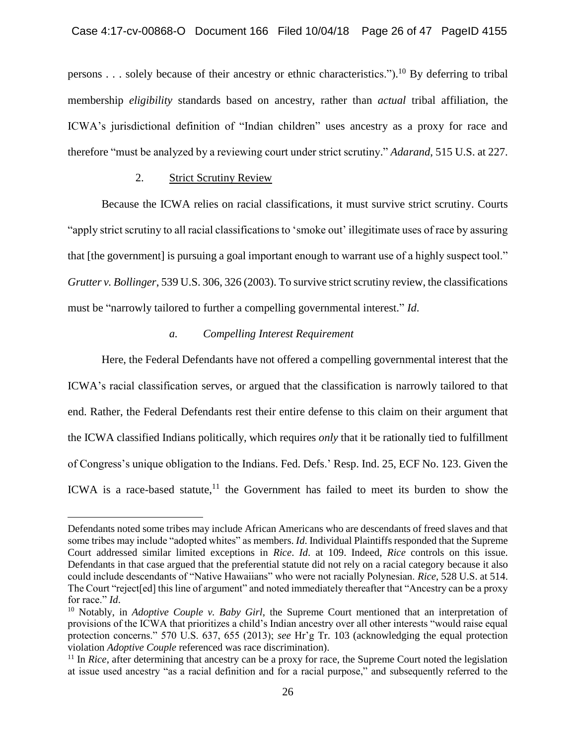persons . . . solely because of their ancestry or ethnic characteristics.").<sup>10</sup> By deferring to tribal membership *eligibility* standards based on ancestry, rather than *actual* tribal affiliation, the ICWA's jurisdictional definition of "Indian children" uses ancestry as a proxy for race and therefore "must be analyzed by a reviewing court under strict scrutiny." *Adarand*, 515 U.S. at 227.

# 2. Strict Scrutiny Review

 $\overline{a}$ 

Because the ICWA relies on racial classifications, it must survive strict scrutiny. Courts "apply strict scrutiny to all racial classifications to 'smoke out' illegitimate uses of race by assuring that [the government] is pursuing a goal important enough to warrant use of a highly suspect tool." *Grutter v. Bollinger*, 539 U.S. 306, 326 (2003). To survive strict scrutiny review, the classifications must be "narrowly tailored to further a compelling governmental interest." *Id*.

# *a. Compelling Interest Requirement*

Here, the Federal Defendants have not offered a compelling governmental interest that the ICWA's racial classification serves, or argued that the classification is narrowly tailored to that end. Rather, the Federal Defendants rest their entire defense to this claim on their argument that the ICWA classified Indians politically, which requires *only* that it be rationally tied to fulfillment of Congress's unique obligation to the Indians. Fed. Defs.' Resp. Ind. 25, ECF No. 123. Given the ICWA is a race-based statute, $11$  the Government has failed to meet its burden to show the

Defendants noted some tribes may include African Americans who are descendants of freed slaves and that some tribes may include "adopted whites" as members. *Id*. Individual Plaintiffs responded that the Supreme Court addressed similar limited exceptions in *Rice*. *Id*. at 109. Indeed, *Rice* controls on this issue. Defendants in that case argued that the preferential statute did not rely on a racial category because it also could include descendants of "Native Hawaiians" who were not racially Polynesian. *Rice*, 528 U.S. at 514. The Court "reject[ed] this line of argument" and noted immediately thereafter that "Ancestry can be a proxy for race." *Id*.

<sup>10</sup> Notably, in *Adoptive Couple v. Baby Girl*, the Supreme Court mentioned that an interpretation of provisions of the ICWA that prioritizes a child's Indian ancestry over all other interests "would raise equal protection concerns." 570 U.S. 637, 655 (2013); *see* Hr'g Tr. 103 (acknowledging the equal protection violation *Adoptive Couple* referenced was race discrimination).

<sup>&</sup>lt;sup>11</sup> In *Rice*, after determining that ancestry can be a proxy for race, the Supreme Court noted the legislation at issue used ancestry "as a racial definition and for a racial purpose," and subsequently referred to the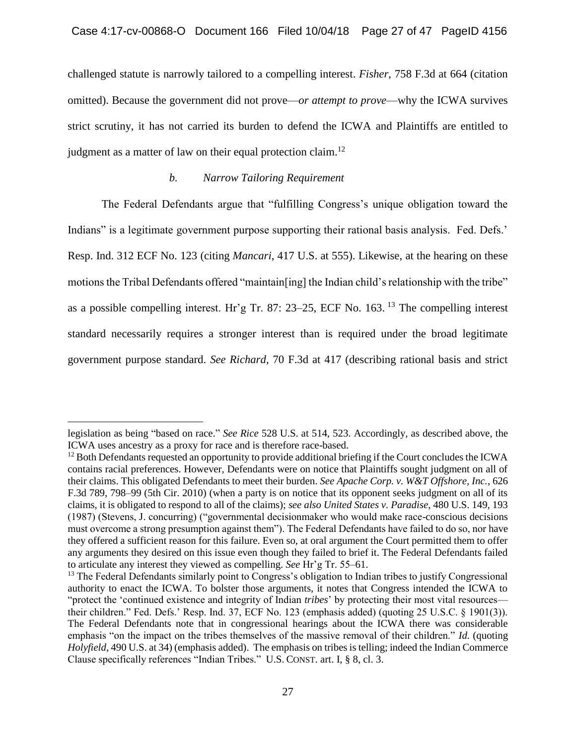challenged statute is narrowly tailored to a compelling interest. *Fisher*, 758 F.3d at 664 (citation omitted). Because the government did not prove—*or attempt to prove*—why the ICWA survives strict scrutiny, it has not carried its burden to defend the ICWA and Plaintiffs are entitled to judgment as a matter of law on their equal protection claim.<sup>12</sup>

# *b. Narrow Tailoring Requirement*

The Federal Defendants argue that "fulfilling Congress's unique obligation toward the Indians" is a legitimate government purpose supporting their rational basis analysis. Fed. Defs.' Resp. Ind. 312 ECF No. 123 (citing *Mancari*, 417 U.S. at 555). Likewise, at the hearing on these motions the Tribal Defendants offered "maintain[ing] the Indian child's relationship with the tribe" as a possible compelling interest. Hr'g Tr. 87: 23–25, ECF No. 163. <sup>13</sup> The compelling interest standard necessarily requires a stronger interest than is required under the broad legitimate government purpose standard. *See Richard*, 70 F.3d at 417 (describing rational basis and strict

legislation as being "based on race." *See Rice* 528 U.S. at 514, 523. Accordingly, as described above, the ICWA uses ancestry as a proxy for race and is therefore race-based.

<sup>&</sup>lt;sup>12</sup> Both Defendants requested an opportunity to provide additional briefing if the Court concludes the ICWA contains racial preferences. However, Defendants were on notice that Plaintiffs sought judgment on all of their claims. This obligated Defendants to meet their burden. *See Apache Corp. v. W&T Offshore, Inc.*, 626 F.3d 789, 798–99 (5th Cir. 2010) (when a party is on notice that its opponent seeks judgment on all of its claims, it is obligated to respond to all of the claims); *see also United States v. Paradise*, 480 U.S. 149, 193 (1987) (Stevens, J. concurring) ("governmental decisionmaker who would make race-conscious decisions must overcome a strong presumption against them"). The Federal Defendants have failed to do so, nor have they offered a sufficient reason for this failure. Even so, at oral argument the Court permitted them to offer any arguments they desired on this issue even though they failed to brief it. The Federal Defendants failed to articulate any interest they viewed as compelling. *See* Hr'g Tr. 55–61.

<sup>&</sup>lt;sup>13</sup> The Federal Defendants similarly point to Congress's obligation to Indian tribes to justify Congressional authority to enact the ICWA. To bolster those arguments, it notes that Congress intended the ICWA to "protect the 'continued existence and integrity of Indian *tribes*' by protecting their most vital resources their children." Fed. Defs.' Resp. Ind. 37, ECF No. 123 (emphasis added) (quoting 25 U.S.C. § 1901(3)). The Federal Defendants note that in congressional hearings about the ICWA there was considerable emphasis "on the impact on the tribes themselves of the massive removal of their children." *Id.* (quoting *Holyfield*, 490 U.S. at 34) (emphasis added).The emphasis on tribes is telling; indeed the Indian Commerce Clause specifically references "Indian Tribes." U.S. CONST. art. I, § 8, cl. 3.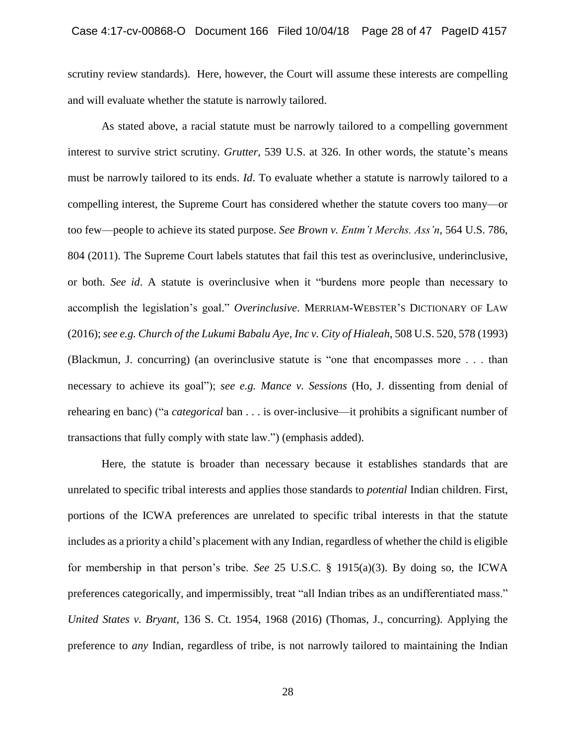scrutiny review standards). Here, however, the Court will assume these interests are compelling and will evaluate whether the statute is narrowly tailored.

As stated above, a racial statute must be narrowly tailored to a compelling government interest to survive strict scrutiny. *Grutter*, 539 U.S. at 326. In other words, the statute's means must be narrowly tailored to its ends. *Id*. To evaluate whether a statute is narrowly tailored to a compelling interest, the Supreme Court has considered whether the statute covers too many—or too few—people to achieve its stated purpose. *See Brown v. Entm't Merchs. Ass'n*, 564 U.S. 786, 804 (2011). The Supreme Court labels statutes that fail this test as overinclusive, underinclusive, or both. *See id*. A statute is overinclusive when it "burdens more people than necessary to accomplish the legislation's goal." *Overinclusive*. MERRIAM-WEBSTER'S DICTIONARY OF LAW (2016); *see e.g. Church of the Lukumi Babalu Aye, Inc v. City of Hialeah*, 508 U.S. 520, 578 (1993) (Blackmun, J. concurring) (an overinclusive statute is "one that encompasses more . . . than necessary to achieve its goal"); *see e.g. Mance v. Sessions* (Ho, J. dissenting from denial of rehearing en banc) ("a *categorical* ban . . . is over-inclusive—it prohibits a significant number of transactions that fully comply with state law.") (emphasis added).

Here, the statute is broader than necessary because it establishes standards that are unrelated to specific tribal interests and applies those standards to *potential* Indian children. First, portions of the ICWA preferences are unrelated to specific tribal interests in that the statute includes as a priority a child's placement with any Indian, regardless of whether the child is eligible for membership in that person's tribe. *See* 25 U.S.C. § 1915(a)(3). By doing so, the ICWA preferences categorically, and impermissibly, treat "all Indian tribes as an undifferentiated mass." *United States v. Bryant*, 136 S. Ct. 1954, 1968 (2016) (Thomas, J., concurring). Applying the preference to *any* Indian, regardless of tribe, is not narrowly tailored to maintaining the Indian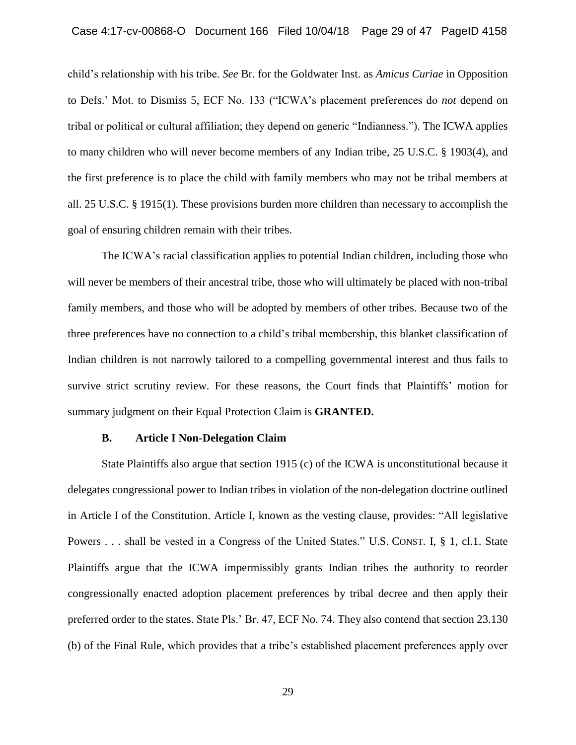child's relationship with his tribe. *See* Br. for the Goldwater Inst. as *Amicus Curiae* in Opposition to Defs.' Mot. to Dismiss 5, ECF No. 133 ("ICWA's placement preferences do *not* depend on tribal or political or cultural affiliation; they depend on generic "Indianness."). The ICWA applies to many children who will never become members of any Indian tribe, 25 U.S.C. § 1903(4), and the first preference is to place the child with family members who may not be tribal members at all. 25 U.S.C. § 1915(1). These provisions burden more children than necessary to accomplish the goal of ensuring children remain with their tribes.

The ICWA's racial classification applies to potential Indian children, including those who will never be members of their ancestral tribe, those who will ultimately be placed with non-tribal family members, and those who will be adopted by members of other tribes. Because two of the three preferences have no connection to a child's tribal membership, this blanket classification of Indian children is not narrowly tailored to a compelling governmental interest and thus fails to survive strict scrutiny review. For these reasons, the Court finds that Plaintiffs' motion for summary judgment on their Equal Protection Claim is **GRANTED.**

#### **B. Article I Non-Delegation Claim**

State Plaintiffs also argue that section 1915 (c) of the ICWA is unconstitutional because it delegates congressional power to Indian tribes in violation of the non-delegation doctrine outlined in Article I of the Constitution. Article I, known as the vesting clause, provides: "All legislative Powers . . . shall be vested in a Congress of the United States." U.S. CONST. I, § 1, cl.1. State Plaintiffs argue that the ICWA impermissibly grants Indian tribes the authority to reorder congressionally enacted adoption placement preferences by tribal decree and then apply their preferred order to the states. State Pls.' Br. 47, ECF No. 74. They also contend that section 23.130 (b) of the Final Rule, which provides that a tribe's established placement preferences apply over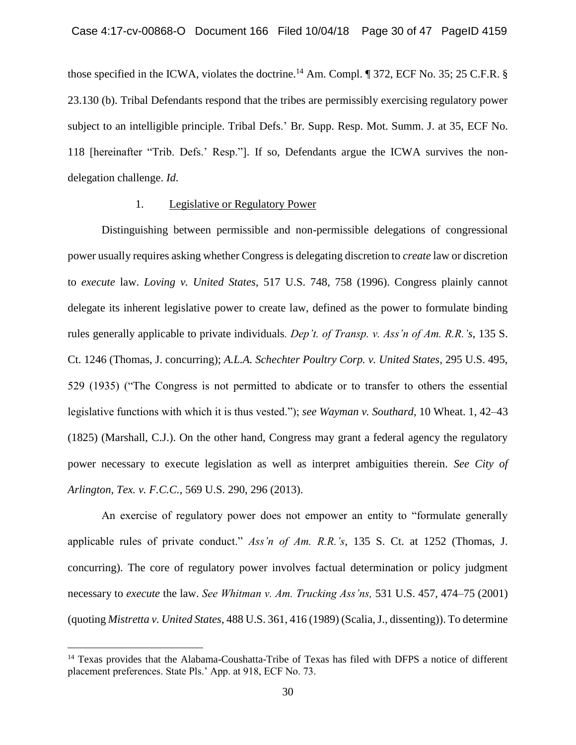those specified in the ICWA, violates the doctrine.<sup>14</sup> Am. Compl. ¶ 372, ECF No. 35; 25 C.F.R. § 23.130 (b). Tribal Defendants respond that the tribes are permissibly exercising regulatory power subject to an intelligible principle. Tribal Defs.' Br. Supp. Resp. Mot. Summ. J. at 35, ECF No. 118 [hereinafter "Trib. Defs.' Resp."]. If so, Defendants argue the ICWA survives the nondelegation challenge. *Id*.

### 1. Legislative or Regulatory Power

Distinguishing between permissible and non-permissible delegations of congressional power usually requires asking whether Congress is delegating discretion to *create* law or discretion to *execute* law. *Loving v. United States*, 517 U.S. 748, 758 (1996). Congress plainly cannot delegate its inherent legislative power to create law, defined as the power to formulate binding rules generally applicable to private individuals*. Dep't. of Transp. v. Ass'n of Am. R.R.'s*, 135 S. Ct. 1246 (Thomas, J. concurring); *A.L.A. Schechter Poultry Corp. v. United States*, 295 U.S. 495, 529 (1935) ("The Congress is not permitted to abdicate or to transfer to others the essential legislative functions with which it is thus vested."); *see Wayman v. Southard*, 10 Wheat. 1, 42–43 (1825) (Marshall, C.J.). On the other hand, Congress may grant a federal agency the regulatory power necessary to execute legislation as well as interpret ambiguities therein. *See City of Arlington, Tex. v. F.C.C.*, 569 U.S. 290, 296 (2013).

An exercise of regulatory power does not empower an entity to "formulate generally applicable rules of private conduct." *Ass'n of Am. R.R.'s*, 135 S. Ct. at 1252 (Thomas, J. concurring). The core of regulatory power involves factual determination or policy judgment necessary to *execute* the law. *See Whitman v. Am. Trucking Ass'ns,* 531 U.S. 457, 474–75 (2001) (quoting *Mistretta v. United States*, 488 U.S. 361, 416 (1989) (Scalia, J., dissenting)). To determine

<sup>&</sup>lt;sup>14</sup> Texas provides that the Alabama-Coushatta-Tribe of Texas has filed with DFPS a notice of different placement preferences. State Pls.' App. at 918, ECF No. 73.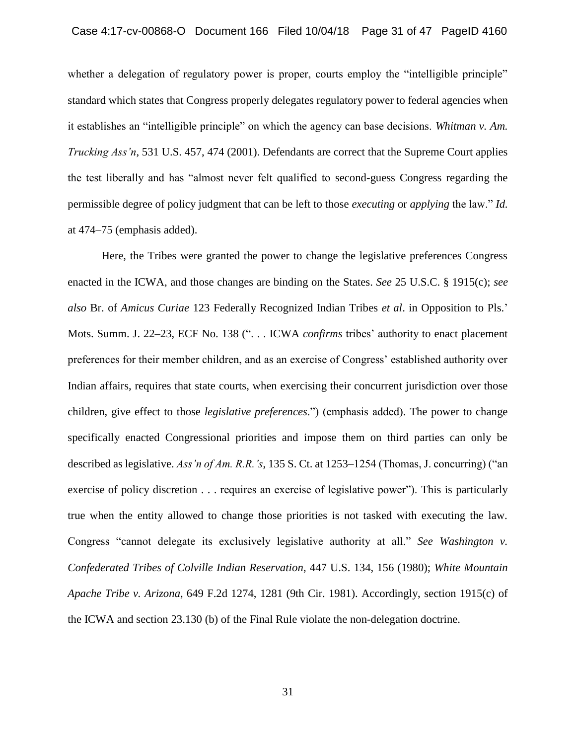whether a delegation of regulatory power is proper, courts employ the "intelligible principle" standard which states that Congress properly delegates regulatory power to federal agencies when it establishes an "intelligible principle" on which the agency can base decisions. *Whitman v. Am. Trucking Ass'n*, 531 U.S. 457, 474 (2001). Defendants are correct that the Supreme Court applies the test liberally and has "almost never felt qualified to second-guess Congress regarding the permissible degree of policy judgment that can be left to those *executing* or *applying* the law." *Id.* at 474–75 (emphasis added).

Here, the Tribes were granted the power to change the legislative preferences Congress enacted in the ICWA, and those changes are binding on the States. *See* 25 U.S.C. § 1915(c); *see also* Br. of *Amicus Curiae* 123 Federally Recognized Indian Tribes *et al*. in Opposition to Pls.' Mots. Summ. J. 22–23, ECF No. 138 (". . . ICWA *confirms* tribes' authority to enact placement preferences for their member children, and as an exercise of Congress' established authority over Indian affairs, requires that state courts, when exercising their concurrent jurisdiction over those children, give effect to those *legislative preferences*.") (emphasis added). The power to change specifically enacted Congressional priorities and impose them on third parties can only be described as legislative. *Ass'n of Am. R.R.'s*, 135 S. Ct. at 1253–1254 (Thomas, J. concurring) ("an exercise of policy discretion . . . requires an exercise of legislative power"). This is particularly true when the entity allowed to change those priorities is not tasked with executing the law. Congress "cannot delegate its exclusively legislative authority at all." *See Washington v. Confederated Tribes of Colville Indian Reservation*, 447 U.S. 134, 156 (1980); *White Mountain Apache Tribe v. Arizona*, 649 F.2d 1274, 1281 (9th Cir. 1981). Accordingly, section 1915(c) of the ICWA and section 23.130 (b) of the Final Rule violate the non-delegation doctrine.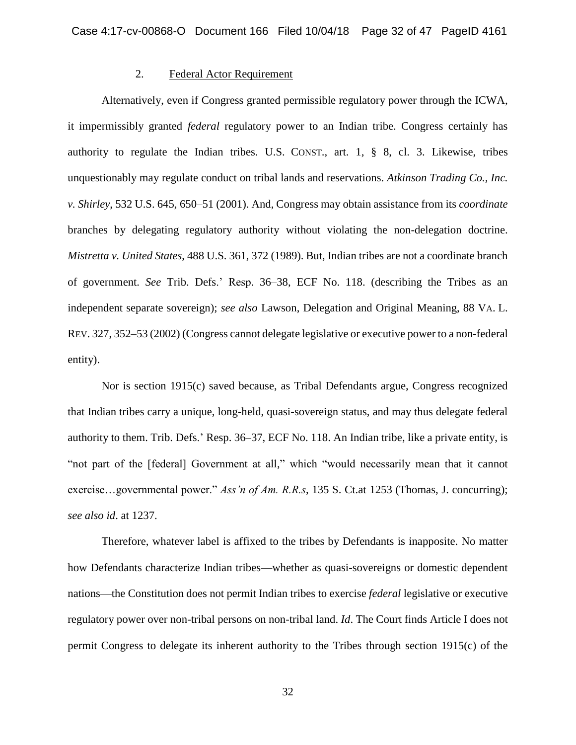# 2. Federal Actor Requirement

Alternatively, even if Congress granted permissible regulatory power through the ICWA, it impermissibly granted *federal* regulatory power to an Indian tribe. Congress certainly has authority to regulate the Indian tribes. U.S. CONST., art. 1, § 8, cl. 3. Likewise, tribes unquestionably may regulate conduct on tribal lands and reservations. *Atkinson Trading Co., Inc. v. Shirley*, 532 U.S. 645, 650–51 (2001). And, Congress may obtain assistance from its *coordinate* branches by delegating regulatory authority without violating the non-delegation doctrine. *Mistretta v. United States*, 488 U.S. 361, 372 (1989). But, Indian tribes are not a coordinate branch of government. *See* Trib. Defs.' Resp. 36–38, ECF No. 118. (describing the Tribes as an independent separate sovereign); *see also* Lawson, Delegation and Original Meaning, 88 VA. L. REV. 327, 352–53 (2002) (Congress cannot delegate legislative or executive power to a non-federal entity).

Nor is section 1915(c) saved because, as Tribal Defendants argue, Congress recognized that Indian tribes carry a unique, long-held, quasi-sovereign status, and may thus delegate federal authority to them. Trib. Defs.' Resp. 36–37, ECF No. 118. An Indian tribe, like a private entity, is "not part of the [federal] Government at all," which "would necessarily mean that it cannot exercise…governmental power." *Ass'n of Am. R.R.s*, 135 S. Ct.at 1253 (Thomas, J. concurring); *see also id*. at 1237.

Therefore, whatever label is affixed to the tribes by Defendants is inapposite. No matter how Defendants characterize Indian tribes—whether as quasi-sovereigns or domestic dependent nations—the Constitution does not permit Indian tribes to exercise *federal* legislative or executive regulatory power over non-tribal persons on non-tribal land. *Id*. The Court finds Article I does not permit Congress to delegate its inherent authority to the Tribes through section 1915(c) of the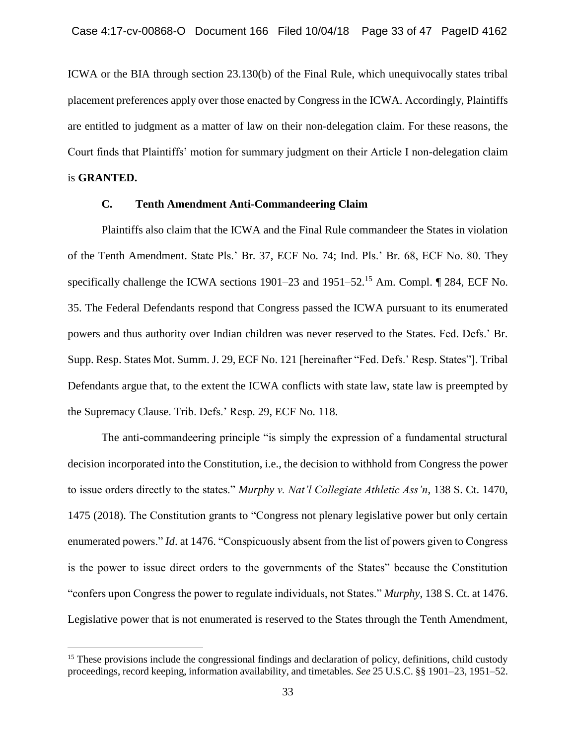ICWA or the BIA through section 23.130(b) of the Final Rule, which unequivocally states tribal placement preferences apply over those enacted by Congress in the ICWA. Accordingly, Plaintiffs are entitled to judgment as a matter of law on their non-delegation claim. For these reasons, the Court finds that Plaintiffs' motion for summary judgment on their Article I non-delegation claim is **GRANTED.**

# **C. Tenth Amendment Anti-Commandeering Claim**

Plaintiffs also claim that the ICWA and the Final Rule commandeer the States in violation of the Tenth Amendment. State Pls.' Br. 37, ECF No. 74; Ind. Pls.' Br. 68, ECF No. 80. They specifically challenge the ICWA sections 1901–23 and 1951–52.<sup>15</sup> Am. Compl. 1 284, ECF No. 35. The Federal Defendants respond that Congress passed the ICWA pursuant to its enumerated powers and thus authority over Indian children was never reserved to the States. Fed. Defs.' Br. Supp. Resp. States Mot. Summ. J. 29, ECF No. 121 [hereinafter "Fed. Defs.' Resp. States"]. Tribal Defendants argue that, to the extent the ICWA conflicts with state law, state law is preempted by the Supremacy Clause. Trib. Defs.' Resp. 29, ECF No. 118.

The anti-commandeering principle "is simply the expression of a fundamental structural decision incorporated into the Constitution, i.e., the decision to withhold from Congress the power to issue orders directly to the states." *Murphy v. Nat'l Collegiate Athletic Ass'n*, 138 S. Ct. 1470, 1475 (2018). The Constitution grants to "Congress not plenary legislative power but only certain enumerated powers." *Id*. at 1476. "Conspicuously absent from the list of powers given to Congress is the power to issue direct orders to the governments of the States" because the Constitution "confers upon Congress the power to regulate individuals, not States." *Murphy*, 138 S. Ct. at 1476. Legislative power that is not enumerated is reserved to the States through the Tenth Amendment,

<sup>&</sup>lt;sup>15</sup> These provisions include the congressional findings and declaration of policy, definitions, child custody proceedings, record keeping, information availability, and timetables. *See* 25 U.S.C. §§ 1901–23, 1951–52.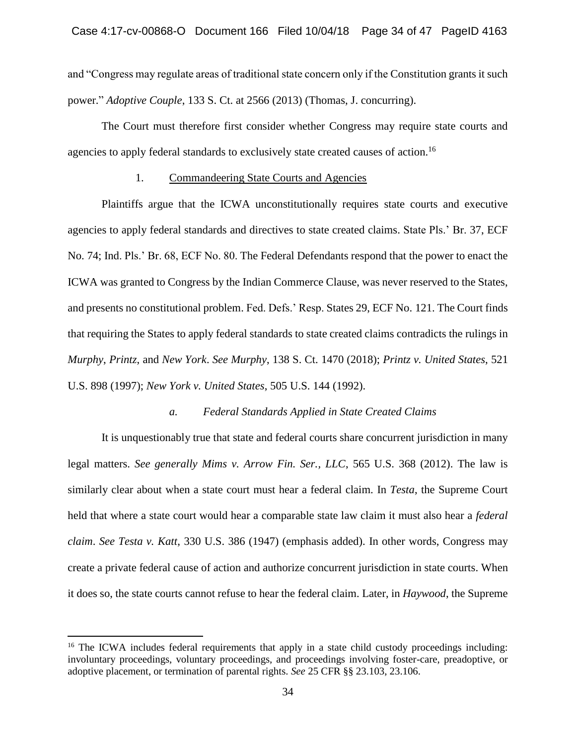and "Congress may regulate areas of traditional state concern only if the Constitution grants it such power." *Adoptive Couple*, 133 S. Ct. at 2566 (2013) (Thomas, J. concurring).

The Court must therefore first consider whether Congress may require state courts and agencies to apply federal standards to exclusively state created causes of action.<sup>16</sup>

### 1. Commandeering State Courts and Agencies

Plaintiffs argue that the ICWA unconstitutionally requires state courts and executive agencies to apply federal standards and directives to state created claims. State Pls.' Br. 37, ECF No. 74; Ind. Pls.' Br. 68, ECF No. 80. The Federal Defendants respond that the power to enact the ICWA was granted to Congress by the Indian Commerce Clause, was never reserved to the States, and presents no constitutional problem. Fed. Defs.' Resp. States 29, ECF No. 121. The Court finds that requiring the States to apply federal standards to state created claims contradicts the rulings in *Murphy*, *Printz*, and *New York*. *See Murphy*, 138 S. Ct. 1470 (2018); *Printz v. United States*, 521 U.S. 898 (1997); *New York v. United States*, 505 U.S. 144 (1992).

# *a. Federal Standards Applied in State Created Claims*

It is unquestionably true that state and federal courts share concurrent jurisdiction in many legal matters. *See generally Mims v. Arrow Fin. Ser., LLC*, 565 U.S. 368 (2012). The law is similarly clear about when a state court must hear a federal claim. In *Testa*, the Supreme Court held that where a state court would hear a comparable state law claim it must also hear a *federal claim*. *See Testa v. Katt*, 330 U.S. 386 (1947) (emphasis added). In other words, Congress may create a private federal cause of action and authorize concurrent jurisdiction in state courts. When it does so, the state courts cannot refuse to hear the federal claim. Later, in *Haywood*, the Supreme

<sup>&</sup>lt;sup>16</sup> The ICWA includes federal requirements that apply in a state child custody proceedings including: involuntary proceedings, voluntary proceedings, and proceedings involving foster-care, preadoptive, or adoptive placement, or termination of parental rights. *See* 25 CFR §§ 23.103, 23.106.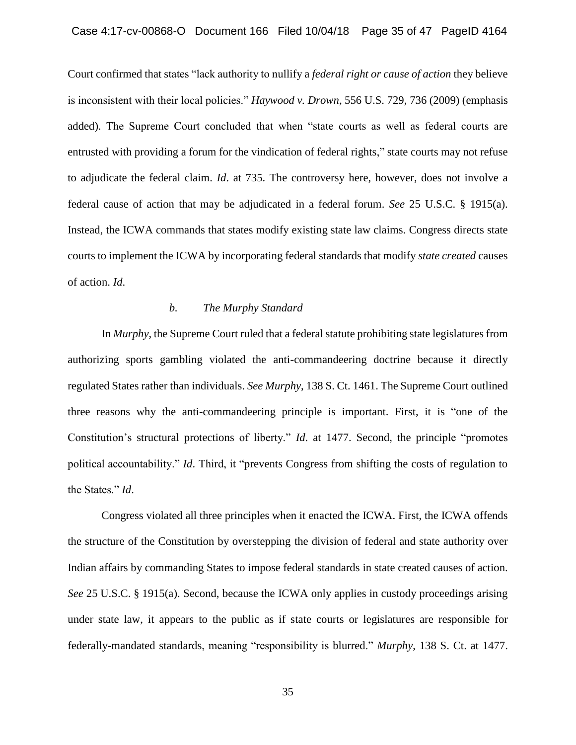Court confirmed that states "lack authority to nullify a *federal right or cause of action* they believe is inconsistent with their local policies." *Haywood v. Drown*, 556 U.S. 729, 736 (2009) (emphasis added). The Supreme Court concluded that when "state courts as well as federal courts are entrusted with providing a forum for the vindication of federal rights," state courts may not refuse to adjudicate the federal claim. *Id*. at 735. The controversy here, however, does not involve a federal cause of action that may be adjudicated in a federal forum. *See* 25 U.S.C. § 1915(a). Instead, the ICWA commands that states modify existing state law claims. Congress directs state courts to implement the ICWA by incorporating federal standards that modify *state created* causes of action. *Id*.

# *b. The Murphy Standard*

In *Murphy*, the Supreme Court ruled that a federal statute prohibiting state legislatures from authorizing sports gambling violated the anti-commandeering doctrine because it directly regulated States rather than individuals. *See Murphy*, 138 S. Ct. 1461. The Supreme Court outlined three reasons why the anti-commandeering principle is important. First, it is "one of the Constitution's structural protections of liberty." *Id*. at 1477. Second, the principle "promotes political accountability." *Id*. Third, it "prevents Congress from shifting the costs of regulation to the States." *Id*.

Congress violated all three principles when it enacted the ICWA. First, the ICWA offends the structure of the Constitution by overstepping the division of federal and state authority over Indian affairs by commanding States to impose federal standards in state created causes of action. *See* 25 U.S.C. § 1915(a). Second, because the ICWA only applies in custody proceedings arising under state law, it appears to the public as if state courts or legislatures are responsible for federally-mandated standards, meaning "responsibility is blurred." *Murphy*, 138 S. Ct. at 1477.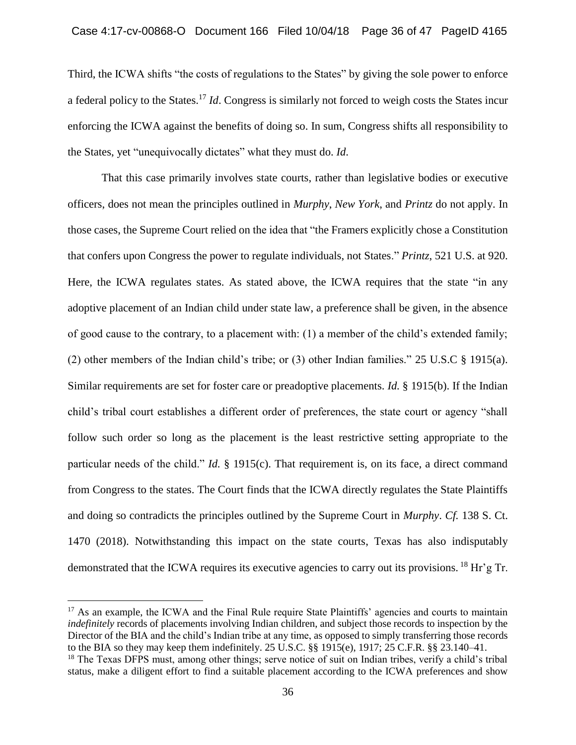Third, the ICWA shifts "the costs of regulations to the States" by giving the sole power to enforce a federal policy to the States. <sup>17</sup> *Id*. Congress is similarly not forced to weigh costs the States incur enforcing the ICWA against the benefits of doing so. In sum, Congress shifts all responsibility to the States, yet "unequivocally dictates" what they must do. *Id*.

That this case primarily involves state courts, rather than legislative bodies or executive officers, does not mean the principles outlined in *Murphy*, *New York*, and *Printz* do not apply. In those cases, the Supreme Court relied on the idea that "the Framers explicitly chose a Constitution that confers upon Congress the power to regulate individuals, not States." *Printz*, 521 U.S. at 920. Here, the ICWA regulates states. As stated above, the ICWA requires that the state "in any adoptive placement of an Indian child under state law, a preference shall be given, in the absence of good cause to the contrary, to a placement with: (1) a member of the child's extended family; (2) other members of the Indian child's tribe; or (3) other Indian families." 25 U.S.C § 1915(a). Similar requirements are set for foster care or preadoptive placements. *Id.* § 1915(b). If the Indian child's tribal court establishes a different order of preferences, the state court or agency "shall follow such order so long as the placement is the least restrictive setting appropriate to the particular needs of the child." *Id.* § 1915(c). That requirement is, on its face, a direct command from Congress to the states. The Court finds that the ICWA directly regulates the State Plaintiffs and doing so contradicts the principles outlined by the Supreme Court in *Murphy*. *Cf.* 138 S. Ct. 1470 (2018). Notwithstanding this impact on the state courts, Texas has also indisputably demonstrated that the ICWA requires its executive agencies to carry out its provisions. <sup>18</sup> Hr'g Tr.

<sup>&</sup>lt;sup>17</sup> As an example, the ICWA and the Final Rule require State Plaintiffs' agencies and courts to maintain *indefinitely* records of placements involving Indian children, and subject those records to inspection by the Director of the BIA and the child's Indian tribe at any time, as opposed to simply transferring those records to the BIA so they may keep them indefinitely. 25 U.S.C. §§ 1915(e), 1917; 25 C.F.R. §§ 23.140–41.

<sup>&</sup>lt;sup>18</sup> The Texas DFPS must, among other things; serve notice of suit on Indian tribes, verify a child's tribal status, make a diligent effort to find a suitable placement according to the ICWA preferences and show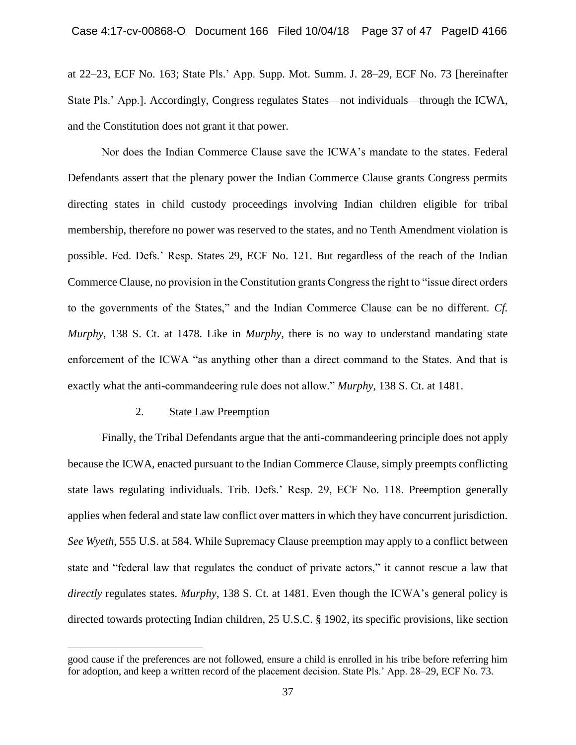at 22–23, ECF No. 163; State Pls.' App. Supp. Mot. Summ. J. 28–29, ECF No. 73 [hereinafter State Pls.' App.]. Accordingly, Congress regulates States—not individuals—through the ICWA, and the Constitution does not grant it that power.

Nor does the Indian Commerce Clause save the ICWA's mandate to the states. Federal Defendants assert that the plenary power the Indian Commerce Clause grants Congress permits directing states in child custody proceedings involving Indian children eligible for tribal membership, therefore no power was reserved to the states, and no Tenth Amendment violation is possible. Fed. Defs.' Resp. States 29, ECF No. 121. But regardless of the reach of the Indian Commerce Clause, no provision in the Constitution grants Congress the right to "issue direct orders to the governments of the States," and the Indian Commerce Clause can be no different. *Cf. Murphy*, 138 S. Ct. at 1478. Like in *Murphy*, there is no way to understand mandating state enforcement of the ICWA "as anything other than a direct command to the States. And that is exactly what the anti-commandeering rule does not allow." *Murphy*, 138 S. Ct. at 1481.

## 2. State Law Preemption

 $\overline{a}$ 

Finally, the Tribal Defendants argue that the anti-commandeering principle does not apply because the ICWA, enacted pursuant to the Indian Commerce Clause, simply preempts conflicting state laws regulating individuals. Trib. Defs.' Resp. 29, ECF No. 118. Preemption generally applies when federal and state law conflict over matters in which they have concurrent jurisdiction. *See Wyeth*, 555 U.S. at 584. While Supremacy Clause preemption may apply to a conflict between state and "federal law that regulates the conduct of private actors," it cannot rescue a law that *directly* regulates states. *Murphy*, 138 S. Ct. at 1481. Even though the ICWA's general policy is directed towards protecting Indian children, 25 U.S.C. § 1902, its specific provisions, like section

good cause if the preferences are not followed, ensure a child is enrolled in his tribe before referring him for adoption, and keep a written record of the placement decision. State Pls.' App. 28–29, ECF No. 73.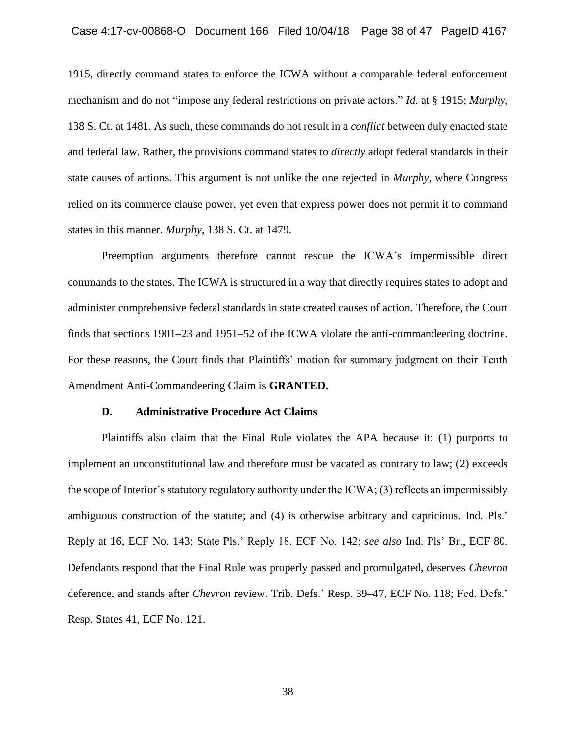1915, directly command states to enforce the ICWA without a comparable federal enforcement mechanism and do not "impose any federal restrictions on private actors." *Id*. at § 1915; *Murphy*, 138 S. Ct. at 1481. As such, these commands do not result in a *conflict* between duly enacted state and federal law. Rather, the provisions command states to *directly* adopt federal standards in their state causes of actions. This argument is not unlike the one rejected in *Murphy*, where Congress relied on its commerce clause power, yet even that express power does not permit it to command states in this manner. *Murphy*, 138 S. Ct. at 1479.

Preemption arguments therefore cannot rescue the ICWA's impermissible direct commands to the states. The ICWA is structured in a way that directly requires states to adopt and administer comprehensive federal standards in state created causes of action. Therefore, the Court finds that sections 1901–23 and 1951–52 of the ICWA violate the anti-commandeering doctrine. For these reasons, the Court finds that Plaintiffs' motion for summary judgment on their Tenth Amendment Anti-Commandeering Claim is **GRANTED.**

### **D. Administrative Procedure Act Claims**

Plaintiffs also claim that the Final Rule violates the APA because it: (1) purports to implement an unconstitutional law and therefore must be vacated as contrary to law; (2) exceeds the scope of Interior's statutory regulatory authority under the ICWA; (3) reflects an impermissibly ambiguous construction of the statute; and (4) is otherwise arbitrary and capricious. Ind. Pls.' Reply at 16, ECF No. 143; State Pls.' Reply 18, ECF No. 142; *see also* Ind. Pls' Br., ECF 80. Defendants respond that the Final Rule was properly passed and promulgated, deserves *Chevron* deference, and stands after *Chevron* review. Trib. Defs.' Resp. 39–47, ECF No. 118; Fed. Defs.' Resp. States 41, ECF No. 121.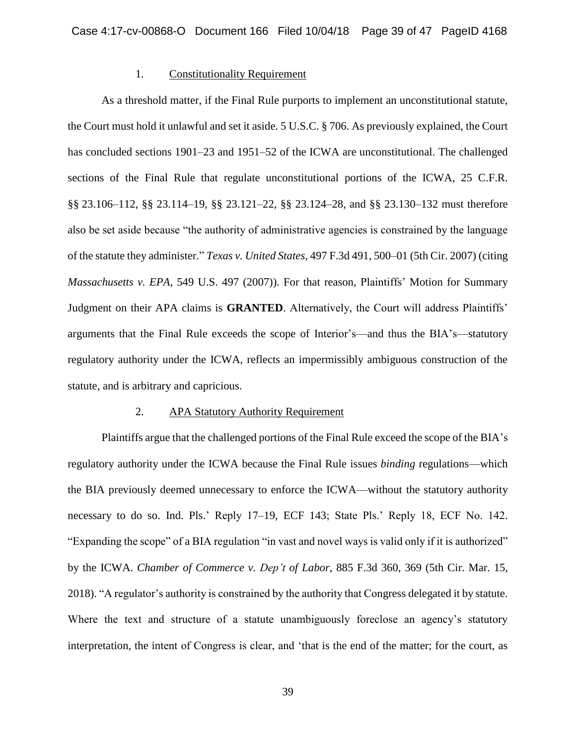### 1. Constitutionality Requirement

As a threshold matter, if the Final Rule purports to implement an unconstitutional statute, the Court must hold it unlawful and set it aside. 5 U.S.C. § 706. As previously explained, the Court has concluded sections 1901–23 and 1951–52 of the ICWA are unconstitutional. The challenged sections of the Final Rule that regulate unconstitutional portions of the ICWA, 25 C.F.R. §§ 23.106–112, §§ 23.114–19, §§ 23.121–22, §§ 23.124–28, and §§ 23.130–132 must therefore also be set aside because "the authority of administrative agencies is constrained by the language of the statute they administer." *Texas v. United States*, 497 F.3d 491, 500–01 (5th Cir. 2007) (citing *Massachusetts v. EPA*, 549 U.S. 497 (2007)). For that reason, Plaintiffs' Motion for Summary Judgment on their APA claims is **GRANTED**. Alternatively, the Court will address Plaintiffs' arguments that the Final Rule exceeds the scope of Interior's—and thus the BIA's—statutory regulatory authority under the ICWA, reflects an impermissibly ambiguous construction of the statute, and is arbitrary and capricious.

### 2. APA Statutory Authority Requirement

Plaintiffs argue that the challenged portions of the Final Rule exceed the scope of the BIA's regulatory authority under the ICWA because the Final Rule issues *binding* regulations—which the BIA previously deemed unnecessary to enforce the ICWA—without the statutory authority necessary to do so. Ind. Pls.' Reply 17–19, ECF 143; State Pls.' Reply 18, ECF No. 142. "Expanding the scope" of a BIA regulation "in vast and novel ways is valid only if it is authorized" by the ICWA. *Chamber of Commerce v. Dep't of Labor*, 885 F.3d 360, 369 (5th Cir. Mar. 15, 2018). "A regulator's authority is constrained by the authority that Congress delegated it by statute. Where the text and structure of a statute unambiguously foreclose an agency's statutory interpretation, the intent of Congress is clear, and 'that is the end of the matter; for the court, as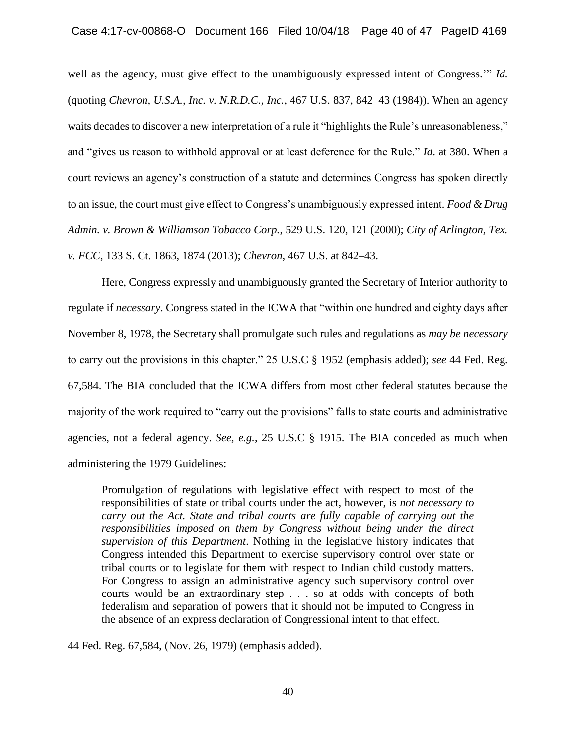well as the agency, must give effect to the unambiguously expressed intent of Congress.'" *Id.* (quoting *Chevron, U.S.A., Inc. v. N.R.D.C., Inc.*, 467 U.S. 837, 842–43 (1984)). When an agency waits decades to discover a new interpretation of a rule it "highlights the Rule's unreasonableness," and "gives us reason to withhold approval or at least deference for the Rule." *Id*. at 380. When a court reviews an agency's construction of a statute and determines Congress has spoken directly to an issue, the court must give effect to Congress's unambiguously expressed intent*. Food & Drug Admin. v. Brown & Williamson Tobacco Corp.*, 529 U.S. 120, 121 (2000); *City of Arlington, Tex. v. FCC*, 133 S. Ct. 1863, 1874 (2013); *Chevron*, 467 U.S. at 842–43.

Here, Congress expressly and unambiguously granted the Secretary of Interior authority to regulate if *necessary*. Congress stated in the ICWA that "within one hundred and eighty days after November 8, 1978, the Secretary shall promulgate such rules and regulations as *may be necessary* to carry out the provisions in this chapter." 25 U.S.C § 1952 (emphasis added); *see* 44 Fed. Reg. 67,584. The BIA concluded that the ICWA differs from most other federal statutes because the majority of the work required to "carry out the provisions" falls to state courts and administrative agencies, not a federal agency. *See, e.g.*, 25 U.S.C § 1915. The BIA conceded as much when administering the 1979 Guidelines:

Promulgation of regulations with legislative effect with respect to most of the responsibilities of state or tribal courts under the act, however, is *not necessary to carry out the Act. State and tribal courts are fully capable of carrying out the responsibilities imposed on them by Congress without being under the direct supervision of this Department*. Nothing in the legislative history indicates that Congress intended this Department to exercise supervisory control over state or tribal courts or to legislate for them with respect to Indian child custody matters. For Congress to assign an administrative agency such supervisory control over courts would be an extraordinary step . . . so at odds with concepts of both federalism and separation of powers that it should not be imputed to Congress in the absence of an express declaration of Congressional intent to that effect.

44 Fed. Reg. 67,584, (Nov. 26, 1979) (emphasis added).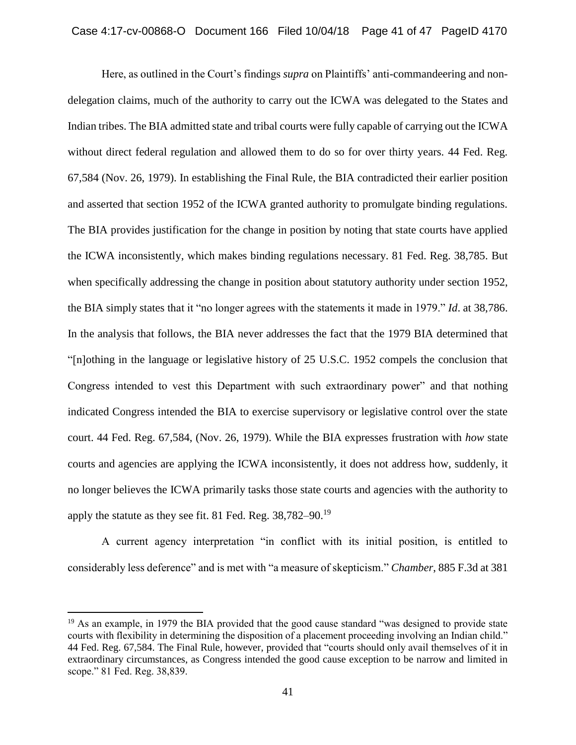Here, as outlined in the Court's findings *supra* on Plaintiffs' anti-commandeering and nondelegation claims, much of the authority to carry out the ICWA was delegated to the States and Indian tribes. The BIA admitted state and tribal courts were fully capable of carrying out the ICWA without direct federal regulation and allowed them to do so for over thirty years. 44 Fed. Reg. 67,584 (Nov. 26, 1979). In establishing the Final Rule, the BIA contradicted their earlier position and asserted that section 1952 of the ICWA granted authority to promulgate binding regulations. The BIA provides justification for the change in position by noting that state courts have applied the ICWA inconsistently, which makes binding regulations necessary. 81 Fed. Reg. 38,785. But when specifically addressing the change in position about statutory authority under section 1952, the BIA simply states that it "no longer agrees with the statements it made in 1979." *Id*. at 38,786. In the analysis that follows, the BIA never addresses the fact that the 1979 BIA determined that "[n]othing in the language or legislative history of 25 U.S.C. 1952 compels the conclusion that Congress intended to vest this Department with such extraordinary power" and that nothing indicated Congress intended the BIA to exercise supervisory or legislative control over the state court. 44 Fed. Reg. 67,584, (Nov. 26, 1979). While the BIA expresses frustration with *how* state courts and agencies are applying the ICWA inconsistently, it does not address how, suddenly, it no longer believes the ICWA primarily tasks those state courts and agencies with the authority to apply the statute as they see fit. 81 Fed. Reg. 38,782–90.<sup>19</sup>

A current agency interpretation "in conflict with its initial position, is entitled to considerably less deference" and is met with "a measure of skepticism." *Chamber*, 885 F.3d at 381

<sup>&</sup>lt;sup>19</sup> As an example, in 1979 the BIA provided that the good cause standard "was designed to provide state" courts with flexibility in determining the disposition of a placement proceeding involving an Indian child." 44 Fed. Reg. 67,584. The Final Rule, however, provided that "courts should only avail themselves of it in extraordinary circumstances, as Congress intended the good cause exception to be narrow and limited in scope." 81 Fed. Reg. 38,839.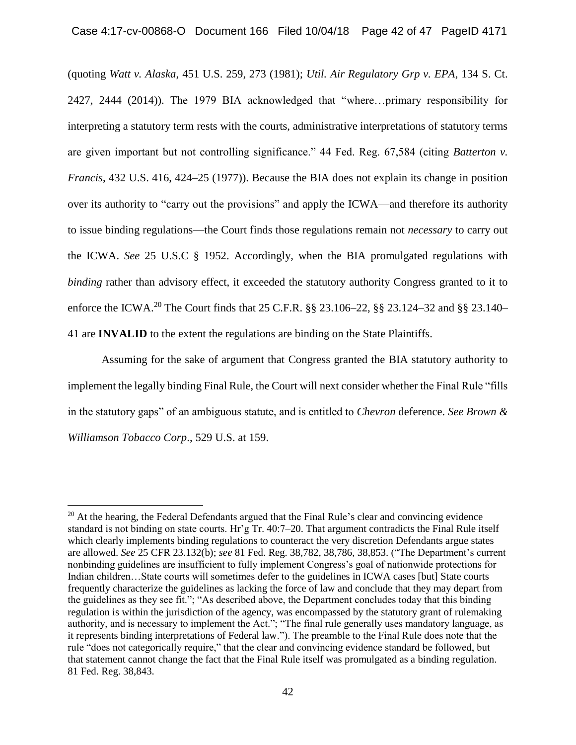(quoting *Watt v. Alaska*, 451 U.S. 259, 273 (1981); *Util. Air Regulatory Grp v. EPA*, 134 S. Ct. 2427, 2444 (2014)). The 1979 BIA acknowledged that "where…primary responsibility for interpreting a statutory term rests with the courts, administrative interpretations of statutory terms are given important but not controlling significance." 44 Fed. Reg. 67,584 (citing *Batterton v. Francis*, 432 U.S. 416, 424–25 (1977)). Because the BIA does not explain its change in position over its authority to "carry out the provisions" and apply the ICWA—and therefore its authority to issue binding regulations—the Court finds those regulations remain not *necessary* to carry out the ICWA. *See* 25 U.S.C § 1952. Accordingly, when the BIA promulgated regulations with *binding* rather than advisory effect, it exceeded the statutory authority Congress granted to it to enforce the ICWA.<sup>20</sup> The Court finds that 25 C.F.R. §§ 23.106–22, §§ 23.124–32 and §§ 23.140– 41 are **INVALID** to the extent the regulations are binding on the State Plaintiffs.

Assuming for the sake of argument that Congress granted the BIA statutory authority to implement the legally binding Final Rule, the Court will next consider whether the Final Rule "fills in the statutory gaps" of an ambiguous statute, and is entitled to *Chevron* deference. *See Brown & Williamson Tobacco Corp*., 529 U.S. at 159.

<sup>&</sup>lt;sup>20</sup> At the hearing, the Federal Defendants argued that the Final Rule's clear and convincing evidence standard is not binding on state courts. Hr'g Tr. 40:7–20. That argument contradicts the Final Rule itself which clearly implements binding regulations to counteract the very discretion Defendants argue states are allowed. *See* 25 CFR 23.132(b); *see* 81 Fed. Reg. 38,782, 38,786, 38,853. ("The Department's current nonbinding guidelines are insufficient to fully implement Congress's goal of nationwide protections for Indian children…State courts will sometimes defer to the guidelines in ICWA cases [but] State courts frequently characterize the guidelines as lacking the force of law and conclude that they may depart from the guidelines as they see fit."; "As described above, the Department concludes today that this binding regulation is within the jurisdiction of the agency, was encompassed by the statutory grant of rulemaking authority, and is necessary to implement the Act."; "The final rule generally uses mandatory language, as it represents binding interpretations of Federal law."). The preamble to the Final Rule does note that the rule "does not categorically require," that the clear and convincing evidence standard be followed, but that statement cannot change the fact that the Final Rule itself was promulgated as a binding regulation. 81 Fed. Reg. 38,843.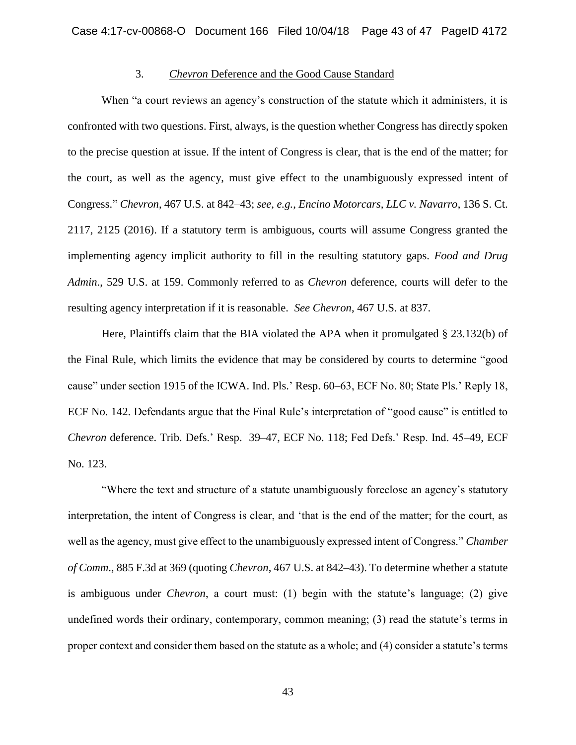# 3. *Chevron* Deference and the Good Cause Standard

When "a court reviews an agency's construction of the statute which it administers, it is confronted with two questions. First, always, is the question whether Congress has directly spoken to the precise question at issue. If the intent of Congress is clear, that is the end of the matter; for the court, as well as the agency, must give effect to the unambiguously expressed intent of Congress." *Chevron*, 467 U.S. at 842–43; *see, e.g.*, *Encino Motorcars, LLC v. Navarro*, 136 S. Ct. 2117, 2125 (2016). If a statutory term is ambiguous, courts will assume Congress granted the implementing agency implicit authority to fill in the resulting statutory gaps. *Food and Drug Admin*., 529 U.S. at 159. Commonly referred to as *Chevron* deference, courts will defer to the resulting agency interpretation if it is reasonable. *See Chevron*, 467 U.S. at 837.

Here, Plaintiffs claim that the BIA violated the APA when it promulgated § 23.132(b) of the Final Rule, which limits the evidence that may be considered by courts to determine "good cause" under section 1915 of the ICWA. Ind. Pls.' Resp. 60–63, ECF No. 80; State Pls.' Reply 18, ECF No. 142. Defendants argue that the Final Rule's interpretation of "good cause" is entitled to *Chevron* deference. Trib. Defs.' Resp. 39–47, ECF No. 118; Fed Defs.' Resp. Ind. 45–49, ECF No. 123.

"Where the text and structure of a statute unambiguously foreclose an agency's statutory interpretation, the intent of Congress is clear, and 'that is the end of the matter; for the court, as well as the agency, must give effect to the unambiguously expressed intent of Congress." *Chamber of Comm*., 885 F.3d at 369 (quoting *Chevron*, 467 U.S. at 842–43). To determine whether a statute is ambiguous under *Chevron*, a court must: (1) begin with the statute's language; (2) give undefined words their ordinary, contemporary, common meaning; (3) read the statute's terms in proper context and consider them based on the statute as a whole; and (4) consider a statute's terms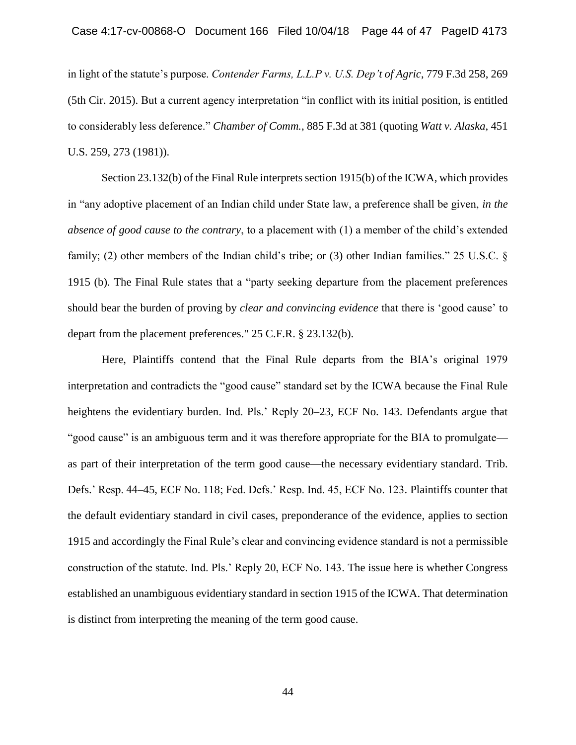in light of the statute's purpose. *Contender Farms, L.L.P v. U.S. Dep't of Agric*, 779 F.3d 258, 269 (5th Cir. 2015). But a current agency interpretation "in conflict with its initial position, is entitled to considerably less deference." *Chamber of Comm.*, 885 F.3d at 381 (quoting *Watt v. Alaska*, 451 U.S. 259, 273 (1981)).

Section 23.132(b) of the Final Rule interprets section 1915(b) of the ICWA, which provides in "any adoptive placement of an Indian child under State law, a preference shall be given, *in the absence of good cause to the contrary*, to a placement with (1) a member of the child's extended family; (2) other members of the Indian child's tribe; or (3) other Indian families." 25 U.S.C. § 1915 (b). The Final Rule states that a "party seeking departure from the placement preferences should bear the burden of proving by *clear and convincing evidence* that there is 'good cause' to depart from the placement preferences." 25 C.F.R. § 23.132(b).

Here, Plaintiffs contend that the Final Rule departs from the BIA's original 1979 interpretation and contradicts the "good cause" standard set by the ICWA because the Final Rule heightens the evidentiary burden. Ind. Pls.' Reply 20–23, ECF No. 143. Defendants argue that "good cause" is an ambiguous term and it was therefore appropriate for the BIA to promulgate as part of their interpretation of the term good cause—the necessary evidentiary standard. Trib. Defs.' Resp. 44–45, ECF No. 118; Fed. Defs.' Resp. Ind. 45, ECF No. 123. Plaintiffs counter that the default evidentiary standard in civil cases, preponderance of the evidence, applies to section 1915 and accordingly the Final Rule's clear and convincing evidence standard is not a permissible construction of the statute. Ind. Pls.' Reply 20, ECF No. 143. The issue here is whether Congress established an unambiguous evidentiary standard in section 1915 of the ICWA. That determination is distinct from interpreting the meaning of the term good cause.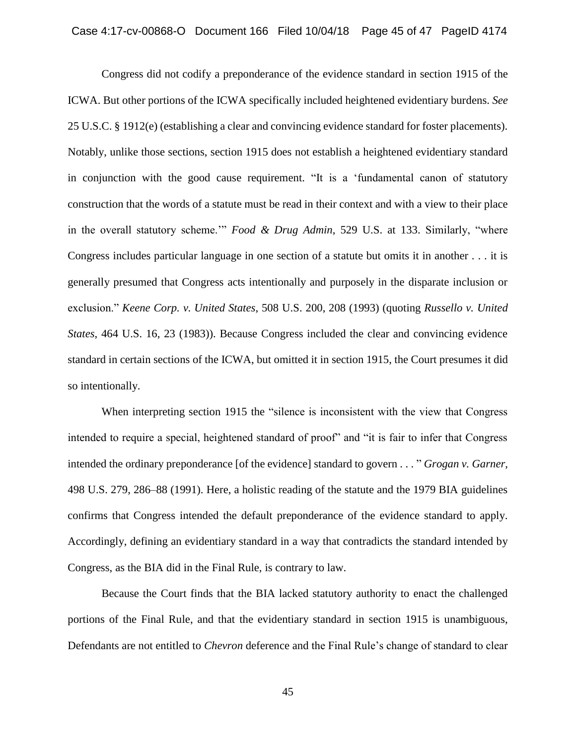Congress did not codify a preponderance of the evidence standard in section 1915 of the ICWA. But other portions of the ICWA specifically included heightened evidentiary burdens. *See* 25 U.S.C. § 1912(e) (establishing a clear and convincing evidence standard for foster placements). Notably, unlike those sections, section 1915 does not establish a heightened evidentiary standard in conjunction with the good cause requirement. "It is a 'fundamental canon of statutory construction that the words of a statute must be read in their context and with a view to their place in the overall statutory scheme.'" *Food & Drug Admin*, 529 U.S. at 133. Similarly, "where Congress includes particular language in one section of a statute but omits it in another . . . it is generally presumed that Congress acts intentionally and purposely in the disparate inclusion or exclusion." *Keene Corp. v. United States*, 508 U.S. 200, 208 (1993) (quoting *Russello v. United States*, 464 U.S. 16, 23 (1983)). Because Congress included the clear and convincing evidence standard in certain sections of the ICWA, but omitted it in section 1915, the Court presumes it did so intentionally.

When interpreting section 1915 the "silence is inconsistent with the view that Congress intended to require a special, heightened standard of proof" and "it is fair to infer that Congress intended the ordinary preponderance [of the evidence] standard to govern . . . " *Grogan v. Garner*, 498 U.S. 279, 286–88 (1991). Here, a holistic reading of the statute and the 1979 BIA guidelines confirms that Congress intended the default preponderance of the evidence standard to apply. Accordingly, defining an evidentiary standard in a way that contradicts the standard intended by Congress, as the BIA did in the Final Rule, is contrary to law.

Because the Court finds that the BIA lacked statutory authority to enact the challenged portions of the Final Rule, and that the evidentiary standard in section 1915 is unambiguous, Defendants are not entitled to *Chevron* deference and the Final Rule's change of standard to clear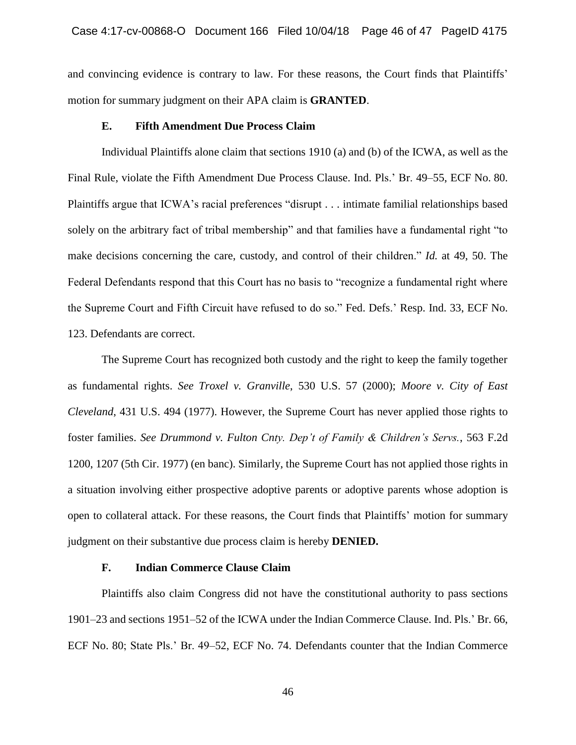and convincing evidence is contrary to law. For these reasons, the Court finds that Plaintiffs' motion for summary judgment on their APA claim is **GRANTED**.

# **E. Fifth Amendment Due Process Claim**

Individual Plaintiffs alone claim that sections 1910 (a) and (b) of the ICWA, as well as the Final Rule, violate the Fifth Amendment Due Process Clause. Ind. Pls.' Br. 49–55, ECF No. 80. Plaintiffs argue that ICWA's racial preferences "disrupt . . . intimate familial relationships based solely on the arbitrary fact of tribal membership" and that families have a fundamental right "to make decisions concerning the care, custody, and control of their children." *Id.* at 49, 50. The Federal Defendants respond that this Court has no basis to "recognize a fundamental right where the Supreme Court and Fifth Circuit have refused to do so." Fed. Defs.' Resp. Ind. 33, ECF No. 123. Defendants are correct.

The Supreme Court has recognized both custody and the right to keep the family together as fundamental rights. *See Troxel v. Granville*, 530 U.S. 57 (2000); *Moore v. City of East Cleveland*, 431 U.S. 494 (1977). However, the Supreme Court has never applied those rights to foster families. *See Drummond v. Fulton Cnty. Dep't of Family & Children's Servs.*, 563 F.2d 1200, 1207 (5th Cir. 1977) (en banc). Similarly, the Supreme Court has not applied those rights in a situation involving either prospective adoptive parents or adoptive parents whose adoption is open to collateral attack. For these reasons, the Court finds that Plaintiffs' motion for summary judgment on their substantive due process claim is hereby **DENIED.**

#### **F. Indian Commerce Clause Claim**

Plaintiffs also claim Congress did not have the constitutional authority to pass sections 1901–23 and sections 1951–52 of the ICWA under the Indian Commerce Clause. Ind. Pls.' Br. 66, ECF No. 80; State Pls.' Br. 49–52, ECF No. 74. Defendants counter that the Indian Commerce